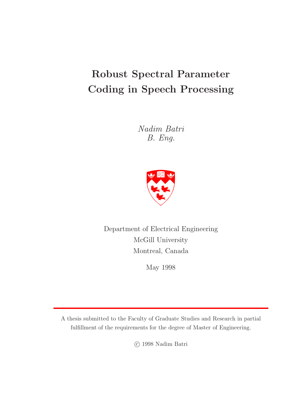# **Robust Spectral Parameter Coding in Speech Processing**

Nadim Batri B. Eng.



Department of Electrical Engineering McGill University Montreal, Canada

May 1998

A thesis submitted to the Faculty of Graduate Studies and Research in partial fulfillment of the requirements for the degree of Master of Engineering.

c 1998 Nadim Batri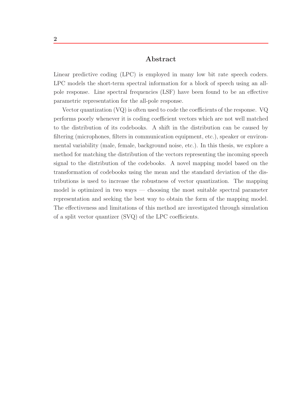### **Abstract**

Linear predictive coding (LPC) is employed in many low bit rate speech coders. LPC models the short-term spectral information for a block of speech using an allpole response. Line spectral frequencies (LSF) have been found to be an effective parametric representation for the all-pole response.

Vector quantization (VQ) is often used to code the coefficients of the response. VQ performs poorly whenever it is coding coefficient vectors which are not well matched to the distribution of its codebooks. A shift in the distribution can be caused by filtering (microphones, filters in communication equipment, etc.), speaker or environmental variability (male, female, background noise, etc.). In this thesis, we explore a method for matching the distribution of the vectors representing the incoming speech signal to the distribution of the codebooks. A novel mapping model based on the transformation of codebooks using the mean and the standard deviation of the distributions is used to increase the robustness of vector quantization. The mapping model is optimized in two ways — choosing the most suitable spectral parameter representation and seeking the best way to obtain the form of the mapping model. The effectiveness and limitations of this method are investigated through simulation of a split vector quantizer (SVQ) of the LPC coefficients.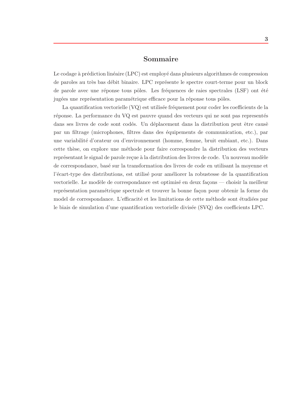### **Sommaire**

Le codage à prédiction linéaire (LPC) est employé dans plusieurs algorithmes de compression de paroles au très bas débit binaire. LPC représente le spectre court-terme pour un block de parole avec une réponse tous pôles. Les fréquences de raies spectrales (LSF) ont été jugées une représentation paramétrique efficace pour la réponse tous pôles.

La quantification vectorielle  $(VQ)$  est utilisée fréquement pour coder les coefficients de la réponse. La performance du VQ est pauvre quand des vecteurs qui ne sont pas representés dans ses livres de code sont codés. Un déplacement dans la distribution peut être causê par un filtrage (microphones, filtres dans des ´equipements de communication, etc.), par une variabilit´e d'orateur ou d'environnement (homme, femme, bruit embiant, etc.). Dans cette thèse, on explore une méthode pour faire correspondre la distribution des vecteurs représentant le signal de parole reçue à la distribution des livres de code. Un nouveau modèle de correspondance, bas´e sur la transformation des livres de code en utilisant la moyenne et l'écart-type des distributions, est utilisé pour améliorer la robustesse de la quantification vectorielle. Le modèle de correspondance est optimisé en deux façons — choisir la meilleur représentation paramétrique spectrale et trouver la bonne façon pour obtenir la forme du model de correspondance. L'efficacité et les limitations de cette méthode sont étudiées par le biais de simulation d'une quantification vectorielle divis´ee (SVQ) des coefficients LPC.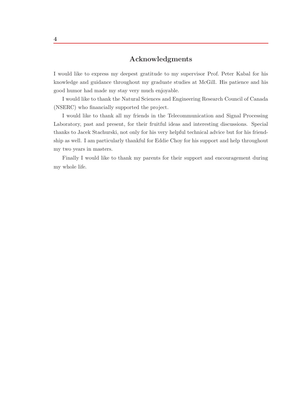# **Acknowledgments**

I would like to express my deepest gratitude to my supervisor Prof. Peter Kabal for his knowledge and guidance throughout my graduate studies at McGill. His patience and his good humor had made my stay very much enjoyable.

I would like to thank the Natural Sciences and Engineering Research Council of Canada (NSERC) who financially supported the project.

I would like to thank all my friends in the Telecommunication and Signal Processing Laboratory, past and present, for their fruitful ideas and interesting discussions. Special thanks to Jacek Stachurski, not only for his very helpful technical advice but for his friendship as well. I am particularly thankful for Eddie Choy for his support and help throughout my two years in masters.

Finally I would like to thank my parents for their support and encouragement during my whole life.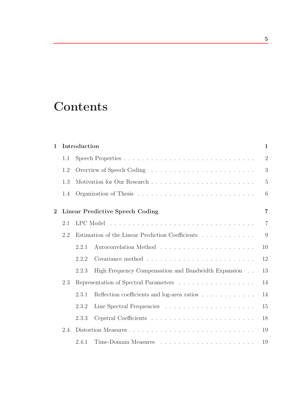# **Contents**

| $\mathbf{1}$   |                                                         | Introduction |                                                                                   | $\mathbf{1}$   |
|----------------|---------------------------------------------------------|--------------|-----------------------------------------------------------------------------------|----------------|
|                | 1.1                                                     |              |                                                                                   | $\overline{2}$ |
|                | 1.2                                                     |              |                                                                                   | 3              |
|                | 1.3                                                     |              |                                                                                   | $\overline{5}$ |
|                | 1.4                                                     |              |                                                                                   | 6              |
| $\overline{2}$ |                                                         |              | <b>Linear Predictive Speech Coding</b>                                            | $\overline{7}$ |
|                | 2.1                                                     |              |                                                                                   | $\overline{7}$ |
|                | Estimation of the Linear Prediction Coefficients<br>2.2 |              |                                                                                   | 9              |
|                |                                                         | 2.2.1        |                                                                                   | 10             |
|                |                                                         | 2.2.2        |                                                                                   | 12             |
|                |                                                         | 2.2.3        | High Frequency Compensation and Bandwidth Expansion                               | 13             |
|                | 2.3                                                     |              | Representation of Spectral Parameters $\ldots \ldots \ldots \ldots \ldots \ldots$ | 14             |
|                |                                                         | 2.3.1        | Reflection coefficients and log-area ratios                                       | 14             |
|                |                                                         | 2.3.2        |                                                                                   | 15             |
|                |                                                         | 2.3.3        |                                                                                   | 18             |
|                | 2.4                                                     |              |                                                                                   | 19             |
|                |                                                         | 2.4.1        |                                                                                   | 19             |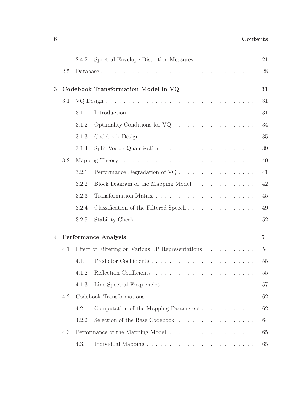|     | 2.4.2 | Spectral Envelope Distortion Measures                                     | 21                                                                                                                                                    |
|-----|-------|---------------------------------------------------------------------------|-------------------------------------------------------------------------------------------------------------------------------------------------------|
| 2.5 |       |                                                                           | 28                                                                                                                                                    |
|     |       |                                                                           | 31                                                                                                                                                    |
| 3.1 |       |                                                                           | 31                                                                                                                                                    |
|     | 3.1.1 |                                                                           | 31                                                                                                                                                    |
|     | 3.1.2 |                                                                           | 34                                                                                                                                                    |
|     | 3.1.3 |                                                                           | 35                                                                                                                                                    |
|     | 3.1.4 |                                                                           | 39                                                                                                                                                    |
| 3.2 |       |                                                                           | 40                                                                                                                                                    |
|     | 3.2.1 | Performance Degradation of $VQ \ldots \ldots \ldots \ldots \ldots \ldots$ | 41                                                                                                                                                    |
|     | 3.2.2 | Block Diagram of the Mapping Model                                        | 42                                                                                                                                                    |
|     | 3.2.3 |                                                                           | 45                                                                                                                                                    |
|     | 3.2.4 |                                                                           | 49                                                                                                                                                    |
|     | 3.2.5 |                                                                           | 52                                                                                                                                                    |
|     |       |                                                                           | 54                                                                                                                                                    |
| 4.1 |       |                                                                           | 54                                                                                                                                                    |
|     | 4.1.1 |                                                                           | 55                                                                                                                                                    |
|     | 4.1.2 |                                                                           | 55                                                                                                                                                    |
|     | 4.1.3 |                                                                           | 57                                                                                                                                                    |
| 4.2 |       |                                                                           | 62                                                                                                                                                    |
|     | 4.2.1 | Computation of the Mapping Parameters                                     | 62                                                                                                                                                    |
|     | 4.2.2 | Selection of the Base Codebook                                            | 64                                                                                                                                                    |
| 4.3 |       |                                                                           | 65                                                                                                                                                    |
|     | 4.3.1 |                                                                           | 65                                                                                                                                                    |
|     |       |                                                                           | Codebook Transformation Model in VQ<br><b>Performance Analysis</b><br>Effect of Filtering on Various LP Representations $\ldots \ldots \ldots \ldots$ |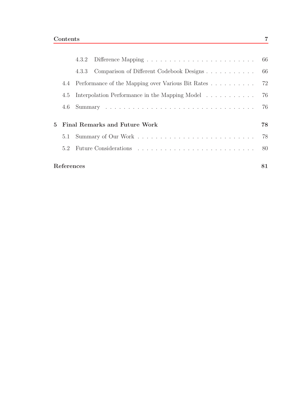|              |     |            | 4.3.3 Comparison of Different Codebook Designs        | 66 |
|--------------|-----|------------|-------------------------------------------------------|----|
|              |     |            | 4.4 Performance of the Mapping over Various Bit Rates | 72 |
|              | 4.5 |            | Interpolation Performance in the Mapping Model        | 76 |
|              | 4.6 |            |                                                       | 76 |
| $\mathbf{5}$ |     |            | Final Remarks and Future Work                         | 78 |
|              | 5.1 |            |                                                       | 78 |
|              | 5.2 |            |                                                       |    |
|              |     | References |                                                       | 81 |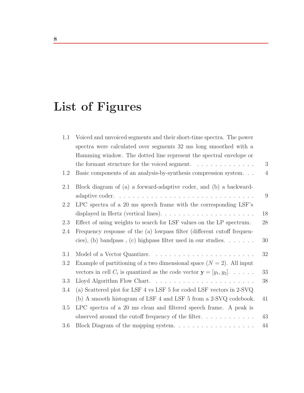# **List of Figures**

| 1.1     | Voiced and unvoiced segments and their short-time spectra. The power<br>spectra were calculated over segments 32 ms long smoothed with a |                |
|---------|------------------------------------------------------------------------------------------------------------------------------------------|----------------|
|         | Hamming window. The dotted line represent the spectral envelope or                                                                       |                |
|         | the formant structure for the voiced segment. $\ldots \ldots \ldots \ldots$                                                              | 3              |
| 1.2     | Basic components of an analysis-by-synthesis compression system.                                                                         | $\overline{4}$ |
| 2.1     | Block diagram of (a) a forward-adaptive coder, and (b) a backward-                                                                       |                |
|         | adaptive coder                                                                                                                           | 9              |
| 2.2     | LPC spectra of a 20 ms speech frame with the corresponding LSF's                                                                         |                |
|         |                                                                                                                                          | 18             |
| 2.3     | Effect of using weights to search for LSF values on the LP spectrum.                                                                     | 28             |
| 2.4     | Frequency response of the (a) lowpass filter (different cutoff frequen-                                                                  |                |
|         | cies), (b) bandpass, (c) highpass filter used in our studies. $\dots \dots$                                                              | 30             |
| 3.1     |                                                                                                                                          | 32             |
| 3.2     | Example of partitioning of a two dimensional space $(N = 2)$ . All input                                                                 |                |
|         | vectors in cell $C_i$ is quantized as the code vector $\mathbf{y} = [y_1, y_2] \dots \dots$                                              | 33             |
| 3.3     | Lloyd Algorithm Flow Chart                                                                                                               | 38             |
| 3.4     | (a) Scattered plot for LSF 4 vs LSF 5 for coded LSF vectors in 2-SVQ                                                                     |                |
|         | (b) A smooth histogram of LSF 4 and LSF 5 from a 2-SVQ codebook.                                                                         | 41             |
| 3.5     | LPC spectra of a 20 ms clean and filtered speech frame. A peak is                                                                        |                |
|         | observed around the cutoff frequency of the filter. $\dots \dots \dots$                                                                  | 43             |
| $3.6\,$ | Block Diagram of the mapping system.                                                                                                     | 44             |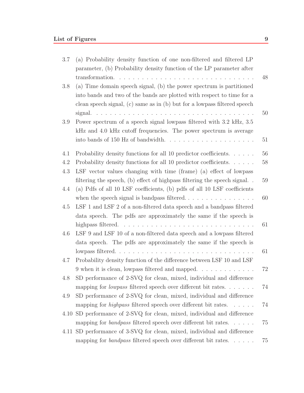| 3.7 | (a) Probability density function of one non-filtered and filtered LP      |    |
|-----|---------------------------------------------------------------------------|----|
|     | parameter, (b) Probability density function of the LP parameter after     |    |
|     |                                                                           | 48 |
| 3.8 | (a) Time domain speech signal, (b) the power spectrum is partitioned      |    |
|     | into bands and two of the bands are plotted with respect to time for a    |    |
|     | clean speech signal, (c) same as in (b) but for a lowpass filtered speech |    |
|     |                                                                           | 50 |
| 3.9 | Power spectrum of a speech signal lowpass filtered with 3.2 kHz, 3.5      |    |
|     | kHz and 4.0 kHz cutoff frequencies. The power spectrum is average         |    |
|     | into bands of 150 Hz of bandwidth                                         | 51 |
| 4.1 | Probability density functions for all 10 predictor coefficients.          | 56 |
| 4.2 | Probability density functions for all 10 predictor coefficients.          | 58 |
| 4.3 | LSF vector values changing with time (frame) (a) effect of lowpass        |    |
|     | filtering the speech, (b) effect of highpass filtering the speech signal  | 59 |
| 4.4 | (a) Pdfs of all 10 LSF coefficients, (b) pdfs of all 10 LSF coefficients  |    |
|     |                                                                           | 60 |
| 4.5 | LSF 1 and LSF 2 of a non-filtered data speech and a bandpass filtered     |    |
|     | data speech. The pdfs are approximately the same if the speech is         |    |
|     |                                                                           | 61 |
| 4.6 | LSF 9 and LSF 10 of a non-filtered data speech and a lowpass filtered     |    |
|     | data speech. The pdfs are approximately the same if the speech is         |    |
|     | lowpass filtered                                                          | 61 |
| 4.7 | Probability density function of the difference between LSF 10 and LSF     |    |
|     | 9 when it is clean, lowpass filtered and mapped                           | 72 |
| 4.8 | SD performance of 2-SVQ for clean, mixed, individual and difference       |    |
|     | mapping for <i>lowpass</i> filtered speech over different bit rates       | 74 |
| 4.9 | SD performance of 2-SVQ for clean, mixed, individual and difference       |    |
|     | mapping for <i>highpass</i> filtered speech over different bit rates.     | 74 |
|     | 4.10 SD performance of 2-SVQ for clean, mixed, individual and difference  |    |
|     | mapping for <i>bandpass</i> filtered speech over different bit rates.     | 75 |
|     | 4.11 SD performance of 3-SVQ for clean, mixed, individual and difference  |    |
|     | mapping for <i>bandpass</i> filtered speech over different bit rates.     | 75 |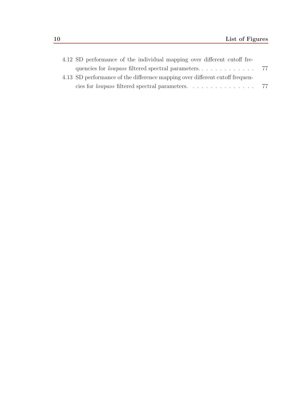| 4.12 SD performance of the individual mapping over different cutoff fre-     |  |
|------------------------------------------------------------------------------|--|
|                                                                              |  |
| 4.13 SD performance of the difference mapping over different cutoff frequen- |  |
|                                                                              |  |
|                                                                              |  |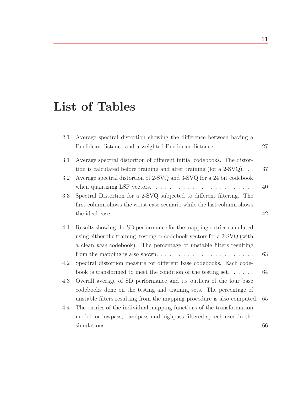# **List of Tables**

| 2.1 | Average spectral distortion showing the difference between having a                  |    |
|-----|--------------------------------------------------------------------------------------|----|
|     | Euclidean distance and a weighted Euclidean distance.                                | 27 |
| 3.1 | Average spectral distortion of different initial codebooks. The distor-              |    |
|     | tion is calculated before training and after training (for a $2-\text{SVQ}$ )        | 37 |
| 3.2 | Average spectral distortion of 2-SVQ and 3-SVQ for a 24 bit codebook                 |    |
|     | when quantizing LSF vectors. $\dots \dots \dots \dots \dots \dots \dots \dots \dots$ | 40 |
| 3.3 | Spectral Distortion for a 2-SVQ subjected to different filtering. The                |    |
|     | first column shows the worst case scenario while the last column shows               |    |
|     |                                                                                      | 42 |
| 4.1 | Results showing the SD performance for the mapping entries calculated                |    |
|     | using either the training, testing or codebook vectors for a 2-SVQ (with             |    |
|     | a clean base codebook). The percentage of unstable filters resulting                 |    |
|     |                                                                                      | 63 |
| 4.2 | Spectral distortion measure for different base codebooks. Each code-                 |    |
|     | book is transformed to meet the condition of the testing set                         | 64 |
| 4.3 | Overall average of SD performance and its outliers of the four base                  |    |
|     | codebooks done on the testing and training sets. The percentage of                   |    |
|     | unstable filters resulting from the mapping procedure is also computed.              | 65 |
| 4.4 | The entries of the individual mapping functions of the transformation                |    |
|     | model for lowpass, bandpass and highpass filtered speech used in the                 |    |
|     | simulations.                                                                         | 66 |
|     |                                                                                      |    |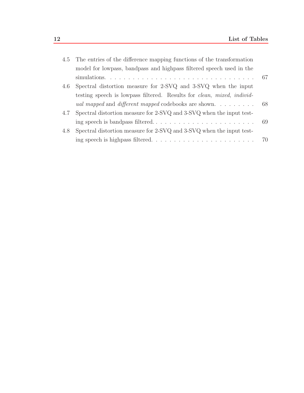|     | 4.5 The entries of the difference mapping functions of the transformation                      |  |
|-----|------------------------------------------------------------------------------------------------|--|
|     | model for lowpass, bandpass and highpass filtered speech used in the                           |  |
|     |                                                                                                |  |
| 4.6 | Spectral distortion measure for 2-SVQ and 3-SVQ when the input                                 |  |
|     | testing speech is lowpass filtered. Results for <i>clean</i> , <i>mixed</i> , <i>individ</i> - |  |
|     | <i>ual mapped</i> and <i>different mapped</i> codebooks are shown 68                           |  |
| 4.7 | Spectral distortion measure for 2-SVQ and 3-SVQ when the input test-                           |  |
|     |                                                                                                |  |
| 4.8 | Spectral distortion measure for 2-SVQ and 3-SVQ when the input test-                           |  |
|     |                                                                                                |  |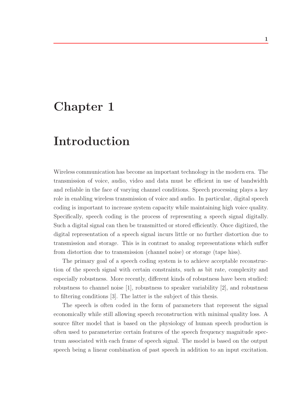# **Chapter 1**

# **Introduction**

Wireless communication has become an important technology in the modern era. The transmission of voice, audio, video and data must be efficient in use of bandwidth and reliable in the face of varying channel conditions. Speech processing plays a key role in enabling wireless transmission of voice and audio. In particular, digital speech coding is important to increase system capacity while maintaining high voice quality. Specifically, speech coding is the process of representing a speech signal digitally. Such a digital signal can then be transmitted or stored efficiently. Once digitized, the digital representation of a speech signal incurs little or no further distortion due to transmission and storage. This is in contrast to analog representations which suffer from distortion due to transmission (channel noise) or storage (tape hiss).

The primary goal of a speech coding system is to achieve acceptable reconstruction of the speech signal with certain constraints, such as bit rate, complexity and especially robustness. More recently, different kinds of robustness have been studied: robustness to channel noise [1], robustness to speaker variability [2], and robustness to filtering conditions [3]. The latter is the subject of this thesis.

The speech is often coded in the form of parameters that represent the signal economically while still allowing speech reconstruction with minimal quality loss. A source filter model that is based on the physiology of human speech production is often used to parameterize certain features of the speech frequency magnitude spectrum associated with each frame of speech signal. The model is based on the output speech being a linear combination of past speech in addition to an input excitation.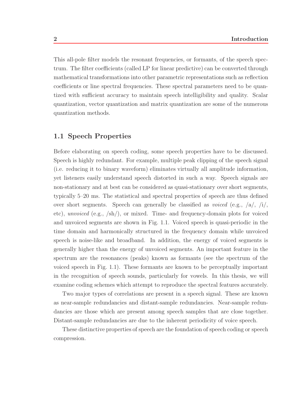This all-pole filter models the resonant frequencies, or formants, of the speech spectrum. The filter coefficients (called LP for linear predictive) can be converted through mathematical transformations into other parametric representations such as reflection coefficients or line spectral frequencies. These spectral parameters need to be quantized with sufficient accuracy to maintain speech intelligibility and quality. Scalar quantization, vector quantization and matrix quantization are some of the numerous quantization methods.

### **1.1 Speech Properties**

Before elaborating on speech coding, some speech properties have to be discussed. Speech is highly redundant. For example, multiple peak clipping of the speech signal (i.e. reducing it to binary waveform) eliminates virtually all amplitude information, yet listeners easily understand speech distorted in such a way. Speech signals are non-stationary and at best can be considered as quasi-stationary over short segments, typically 5–20 ms. The statistical and spectral properties of speech are thus defined over short segments. Speech can generally be classified as *voiced* (e.g.,  $\langle a \rangle$ ,  $\langle i \rangle$ , etc), unvoiced (e.g., /sh/), or mixed. Time- and frequency-domain plots for voiced and unvoiced segments are shown in Fig. 1.1. Voiced speech is quasi-periodic in the time domain and harmonically structured in the frequency domain while unvoiced speech is noise-like and broadband. In addition, the energy of voiced segments is generally higher than the energy of unvoiced segments. An important feature in the spectrum are the resonances (peaks) known as formants (see the spectrum of the voiced speech in Fig. 1.1). These formants are known to be perceptually important in the recognition of speech sounds, particularly for vowels. In this thesis, we will examine coding schemes which attempt to reproduce the spectral features accurately.

Two major types of correlations are present in a speech signal. These are known as near-sample redundancies and distant-sample redundancies. Near-sample redundancies are those which are present among speech samples that are close together. Distant-sample redundancies are due to the inherent periodicity of voice speech.

These distinctive properties of speech are the foundation of speech coding or speech compression.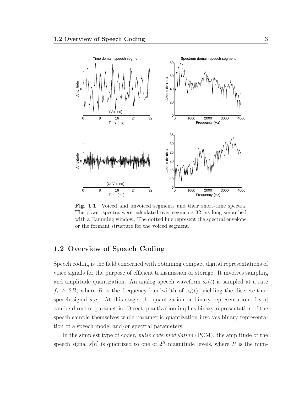

Fig. 1.1 Voiced and unvoiced segments and their short-time spectra. The power spectra were calculated over segments 32 ms long smoothed with a Hamming window. The dotted line represent the spectral envelope or the formant structure for the voiced segment.

### **1.2 Overview of Speech Coding**

Speech coding is the field concerned with obtaining compact digital representations of voice signals for the purpose of efficient transmission or storage. It involves sampling and amplitude quantization. An analog speech waveform  $s_a(t)$  is sampled at a rate  $f_s \geq 2B$ , where B is the frequency bandwidth of  $s_a(t)$ , yielding the discrete-time speech signal s[n]. At this stage, the quantization or binary representation of  $s[n]$ can be direct or parametric. Direct quantization implies binary representation of the speech sample themselves while parametric quantization involves binary representation of a speech model and/or spectral parameters.

In the simplest type of coder, pulse code modulation (PCM), the amplitude of the speech signal s[n] is quantized to one of  $2^R$  magnitude levels, where R is the num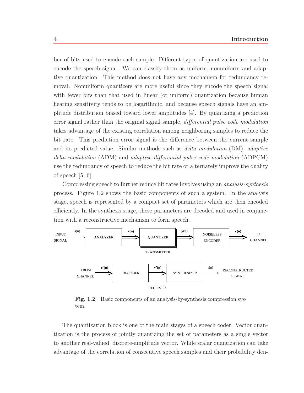ber of bits used to encode each sample. Different types of quantization are used to encode the speech signal. We can classify them as uniform, nonuniform and adaptive quantization. This method does not have any mechanism for redundancy removal. Nonuniform quantizers are more useful since they encode the speech signal with fewer bits than that used in linear (or uniform) quantization because human hearing sensitivity tends to be logarithmic, and because speech signals have an amplitude distribution biased toward lower amplitudes [4]. By quantizing a prediction error signal rather than the original signal sample, *differential pulse code modulation* takes advantage of the existing correlation among neighboring samples to reduce the bit rate. This prediction error signal is the difference between the current sample and its predicted value. Similar methods such as delta modulation (DM), adaptive delta modulation (ADM) and adaptive differential pulse code modulation (ADPCM) use the redundancy of speech to reduce the bit rate or alternately improve the quality of speech  $[5, 6]$ .

Compressing speech to further reduce bit rates involves using an analysis-synthesis process. Figure 1.2 shows the basic components of such a system. In the analysis stage, speech is represented by a compact set of parameters which are then encoded efficiently. In the synthesis stage, these parameters are decoded and used in conjunction with a reconstructive mechanism to form speech.



Fig. 1.2 Basic components of an analysis-by-synthesis compression system.

The quantization block is one of the main stages of a speech coder. Vector quantization is the process of jointly quantizing the set of parameters as a single vector to another real-valued, discrete-amplitude vector. While scalar quantization can take advantage of the correlation of consecutive speech samples and their probability den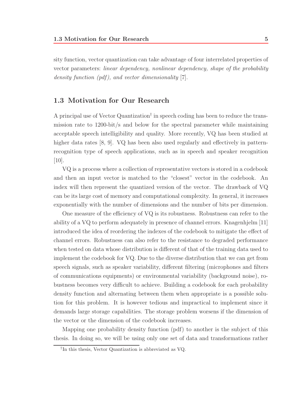sity function, vector quantization can take advantage of four interrelated properties of vector parameters: linear dependency, nonlinear dependency, shape of the probability density function  $(pdf)$ , and vector dimensionality [7].

# **1.3 Motivation for Our Research**

A principal use of Vector Quantization† in speech coding has been to reduce the transmission rate to 1200-bit/s and below for the spectral parameter while maintaining acceptable speech intelligibility and quality. More recently, VQ has been studied at higher data rates [8, 9]. VQ has been also used regularly and effectively in patternrecognition type of speech applications, such as in speech and speaker recognition [10].

VQ is a process where a collection of representative vectors is stored in a codebook and then an input vector is matched to the "closest" vector in the codebook. An index will then represent the quantized version of the vector. The drawback of VQ can be its large cost of memory and computational complexity. In general, it increases exponentially with the number of dimensions and the number of bits per dimension.

One measure of the efficiency of VQ is its robustness. Robustness can refer to the ability of a VQ to perform adequately in presence of channel errors. Knagenhjelm [11] introduced the idea of reordering the indexes of the codebook to mitigate the effect of channel errors. Robustness can also refer to the resistance to degraded performance when tested on data whose distribution is different of that of the training data used to implement the codebook for VQ. Due to the diverse distribution that we can get from speech signals, such as speaker variability, different filtering (microphones and filters of communications equipments) or environmental variability (background noise), robustness becomes very difficult to achieve. Building a codebook for each probability density function and alternating between them when appropriate is a possible solution for this problem. It is however tedious and impractical to implement since it demands large storage capabilities. The storage problem worsens if the dimension of the vector or the dimension of the codebook increases.

Mapping one probability density function (pdf) to another is the subject of this thesis. In doing so, we will be using only one set of data and transformations rather

<sup>†</sup>In this thesis, Vector Quantization is abbreviated as VQ.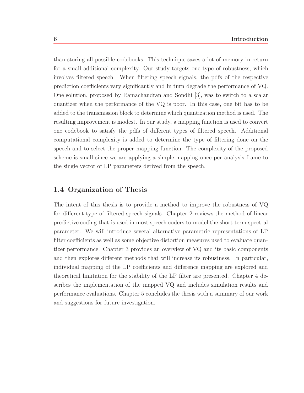than storing all possible codebooks. This technique saves a lot of memory in return for a small additional complexity. Our study targets one type of robustness, which involves filtered speech. When filtering speech signals, the pdfs of the respective prediction coefficients vary significantly and in turn degrade the performance of VQ. One solution, proposed by Ramachandran and Sondhi [3], was to switch to a scalar quantizer when the performance of the VQ is poor. In this case, one bit has to be added to the transmission block to determine which quantization method is used. The resulting improvement is modest. In our study, a mapping function is used to convert one codebook to satisfy the pdfs of different types of filtered speech. Additional computational complexity is added to determine the type of filtering done on the speech and to select the proper mapping function. The complexity of the proposed scheme is small since we are applying a simple mapping once per analysis frame to the single vector of LP parameters derived from the speech.

### **1.4 Organization of Thesis**

The intent of this thesis is to provide a method to improve the robustness of VQ for different type of filtered speech signals. Chapter 2 reviews the method of linear predictive coding that is used in most speech coders to model the short-term spectral parameter. We will introduce several alternative parametric representations of LP filter coefficients as well as some objective distortion measures used to evaluate quantizer performance. Chapter 3 provides an overview of VQ and its basic components and then explores different methods that will increase its robustness. In particular, individual mapping of the LP coefficients and difference mapping are explored and theoretical limitation for the stability of the LP filter are presented. Chapter 4 describes the implementation of the mapped VQ and includes simulation results and performance evaluations. Chapter 5 concludes the thesis with a summary of our work and suggestions for future investigation.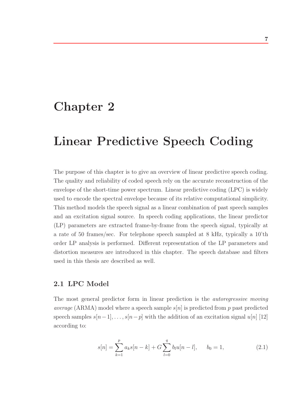# **Chapter 2**

# **Linear Predictive Speech Coding**

The purpose of this chapter is to give an overview of linear predictive speech coding. The quality and reliability of coded speech rely on the accurate reconstruction of the envelope of the short-time power spectrum. Linear predictive coding (LPC) is widely used to encode the spectral envelope because of its relative computational simplicity. This method models the speech signal as a linear combination of past speech samples and an excitation signal source. In speech coding applications, the linear predictor (LP) parameters are extracted frame-by-frame from the speech signal, typically at a rate of 50 frames/sec. For telephone speech sampled at 8 kHz, typically a 10'th order LP analysis is performed. Different representation of the LP parameters and distortion measures are introduced in this chapter. The speech database and filters used in this thesis are described as well.

## **2.1 LPC Model**

The most general predictor form in linear prediction is the *autoregressive moving average* (ARMA) model where a speech sample  $s[n]$  is predicted from p past predicted speech samples  $s[n-1], \ldots, s[n-p]$  with the addition of an excitation signal  $u[n]$  [12] according to:

$$
s[n] = \sum_{k=1}^{p} a_k s[n-k] + G \sum_{l=0}^{q} b_l u[n-l], \qquad b_0 = 1,
$$
 (2.1)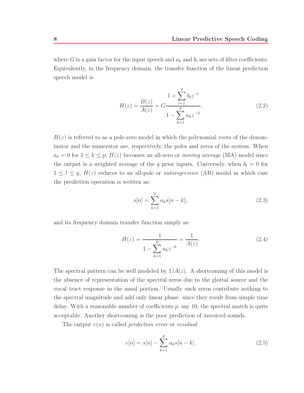where G is a gain factor for the input speech and  $a_k$  and  $b_l$  are sets of filter coefficients. Equivalently, in the frequency domain, the transfer function of the linear prediction speech model is

$$
H(z) = \frac{B(z)}{A(z)} = G \frac{1 + \sum_{l=1}^{q} b_l z^{-l}}{1 - \sum_{k=1}^{p} a_k z^{-k}}.
$$
\n(2.2)

 $H(z)$  is referred to as a pole-zero model in which the polynomial roots of the denominator and the numerator are, respectively, the poles and zeros of the system. When  $a_k = 0$  for  $1 \leq k \leq p$ ,  $H(z)$  becomes an all-zero or *moving average* (MA) model since the output is a weighted average of the q prior inputs. Conversely, when  $b_l = 0$  for  $1 \leq l \leq q$ ,  $H(z)$  reduces to an all-pole or *autoregressive* (AR) model in which case the prediction operation is written as:

$$
s[n] = \sum_{k=1}^{p} a_k s[n-k],
$$
\n(2.3)

and its frequency domain transfer function simply as:

$$
H(z) = \frac{1}{1 - \sum_{k=1}^{p} a_k z^{-k}} = \frac{1}{A(z)}.
$$
\n(2.4)

The spectral pattern can be well modeled by  $1/A(z)$ . A shortcoming of this model is the absence of representation of the spectral zeros due to the glottal source and the vocal tract response in the nasal portion. Usually such zeros contribute nothing to the spectral magnitude and add only linear phase, since they result from simple time delay. With a reasonable number of coefficients  $p$ , say 10, the spectral match is quite acceptable. Another shortcoming is the poor prediction of unvoiced sounds.

The output  $e(n)$  is called *prediction error* or *residual*:

$$
e[n] = s[n] - \sum_{k=1}^{p} a_k s[n-k].
$$
\n(2.5)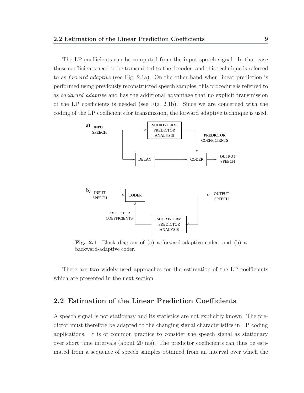The LP coefficients can be computed from the input speech signal. In that case these coefficients need to be transmitted to the decoder, and this technique is referred to as forward adaptive (see Fig. 2.1a). On the other hand when linear prediction is performed using previously reconstructed speech samples, this procedure is referred to as backward adaptive and has the additional advantage that no explicit transmission of the LP coefficients is needed (see Fig. 2.1b). Since we are concerned with the coding of the LP coefficients for transmission, the forward adaptive technique is used.



**Fig. 2.1** Block diagram of (a) a forward-adaptive coder, and (b) a backward-adaptive coder.

There are two widely used approaches for the estimation of the LP coefficients which are presented in the next section.

# **2.2 Estimation of the Linear Prediction Coefficients**

A speech signal is not stationary and its statistics are not explicitly known. The predictor must therefore be adapted to the changing signal characteristics in LP coding applications. It is of common practice to consider the speech signal as stationary over short time intervals (about 20 ms). The predictor coefficients can thus be estimated from a sequence of speech samples obtained from an interval over which the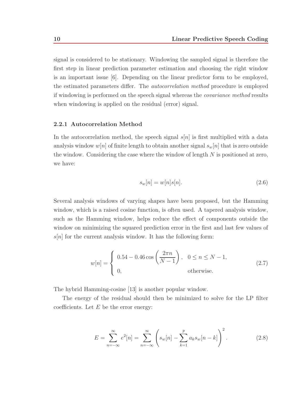signal is considered to be stationary. Windowing the sampled signal is therefore the first step in linear prediction parameter estimation and choosing the right window is an important issue [6]. Depending on the linear predictor form to be employed, the estimated parameters differ. The *autocorrelation method* procedure is employed if windowing is performed on the speech signal whereas the covariance method results when windowing is applied on the residual (error) signal.

#### **2.2.1 Autocorrelation Method**

In the autocorrelation method, the speech signal  $s[n]$  is first multiplied with a data analysis window  $w[n]$  of finite length to obtain another signal  $s_w[n]$  that is zero outside the window. Considering the case where the window of length  $N$  is positioned at zero, we have:

$$
s_w[n] = w[n]s[n].\tag{2.6}
$$

Several analysis windows of varying shapes have been proposed, but the Hamming window, which is a raised cosine function, is often used. A tapered analysis window, such as the Hamming window, helps reduce the effect of components outside the window on minimizing the squared prediction error in the first and last few values of  $s[n]$  for the current analysis window. It has the following form:

$$
w[n] = \begin{cases} 0.54 - 0.46 \cos\left(\frac{2\pi n}{N - 1}\right), & 0 \le n \le N - 1, \\ 0, & \text{otherwise.} \end{cases}
$$
 (2.7)

The hybrid Hamming-cosine [13] is another popular window.

The energy of the residual should then be minimized to solve for the LP filter coefficients. Let  $E$  be the error energy:

$$
E = \sum_{n=-\infty}^{\infty} e^2[n] = \sum_{n=-\infty}^{\infty} \left( s_w[n] - \sum_{k=1}^p a_k s_w[n-k] \right)^2.
$$
 (2.8)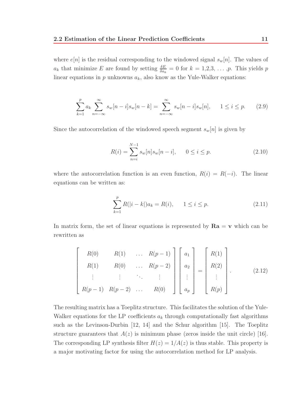where  $e[n]$  is the residual corresponding to the windowed signal  $s_w[n]$ . The values of  $a_k$  that minimize E are found by setting  $\frac{\delta E}{\delta a_k} = 0$  for  $k = 1, 2, 3, \ldots, p$ . This yields p linear equations in  $p$  unknowns  $a_k$ , also know as the Yule-Walker equations:

$$
\sum_{k=1}^{p} a_k \sum_{n=-\infty}^{\infty} s_w[n-i]s_w[n-k] = \sum_{n=-\infty}^{\infty} s_w[n-i]s_w[n], \quad 1 \le i \le p. \tag{2.9}
$$

Since the autocorrelation of the windowed speech segment  $s_w[n]$  is given by

$$
R(i) = \sum_{n=i}^{N-1} s_w[n] s_w[n-i], \qquad 0 \le i \le p. \tag{2.10}
$$

where the autocorrelation function is an even function,  $R(i) = R(-i)$ . The linear equations can be written as:

$$
\sum_{k=1}^{p} R(|i-k|)a_k = R(i), \qquad 1 \le i \le p. \tag{2.11}
$$

In matrix form, the set of linear equations is represented by  $\mathbf{Ra} = \mathbf{v}$  which can be rewritten as

$$
\begin{bmatrix}\nR(0) & R(1) & \dots & R(p-1) \\
R(1) & R(0) & \dots & R(p-2) \\
\vdots & \vdots & \ddots & \vdots \\
R(p-1) & R(p-2) & \dots & R(0)\n\end{bmatrix}\n\begin{bmatrix}\na_1 \\
a_2 \\
\vdots \\
a_p\n\end{bmatrix}\n=\n\begin{bmatrix}\nR(1) \\
R(2) \\
\vdots \\
R(p)\n\end{bmatrix}.
$$
\n(2.12)

The resulting matrix has a Toeplitz structure. This facilitates the solution of the Yule-Walker equations for the LP coefficients  $a_k$  through computationally fast algorithms such as the Levinson-Durbin [12, 14] and the Schur algorithm [15]. The Toeplitz structure guarantees that  $A(z)$  is minimum phase (zeros inside the unit circle) [16]. The corresponding LP synthesis filter  $H(z)=1/A(z)$  is thus stable. This property is a major motivating factor for using the autocorrelation method for LP analysis.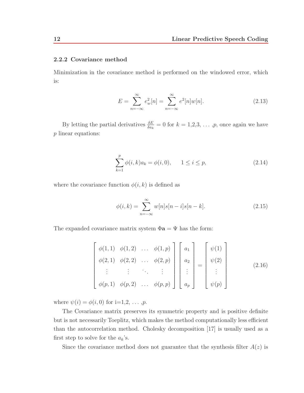#### **2.2.2 Covariance method**

Minimization in the covariance method is performed on the windowed error, which is:

$$
E = \sum_{n=-\infty}^{\infty} e_w^2[n] = \sum_{n=-\infty}^{\infty} e^2[n]w[n].
$$
 (2.13)

By letting the partial derivatives  $\frac{\delta E}{\delta a_k} = 0$  for  $k = 1, 2, 3, \ldots, p$ , once again we have p linear equations:

$$
\sum_{k=1}^{p} \phi(i,k)a_k = \phi(i,0), \qquad 1 \le i \le p,
$$
\n(2.14)

where the covariance function  $\phi(i, k)$  is defined as

$$
\phi(i,k) = \sum_{n=-\infty}^{\infty} w[n]s[n-i]s[n-k].
$$
\n(2.15)

The expanded covariance matrix system  $\Phi$ **a** =  $\Psi$  has the form:

$$
\begin{bmatrix}\n\phi(1,1) & \phi(1,2) & \dots & \phi(1,p) \\
\phi(2,1) & \phi(2,2) & \dots & \phi(2,p) \\
\vdots & \vdots & \ddots & \vdots \\
\phi(p,1) & \phi(p,2) & \dots & \phi(p,p)\n\end{bmatrix}\n\begin{bmatrix}\na_1 \\
a_2 \\
\vdots \\
a_p\n\end{bmatrix}\n=\n\begin{bmatrix}\n\psi(1) \\
\psi(2) \\
\vdots \\
\psi(p)\n\end{bmatrix}
$$
\n(2.16)

where  $\psi(i) = \phi(i, 0)$  for i=1,2, ..., *p*.

The Covariance matrix preserves its symmetric property and is positive definite but is not necessarily Toeplitz, which makes the method computationally less efficient than the autocorrelation method. Cholesky decomposition [17] is usually used as a first step to solve for the  $a_k$ 's.

Since the covariance method does not guarantee that the synthesis filter  $A(z)$  is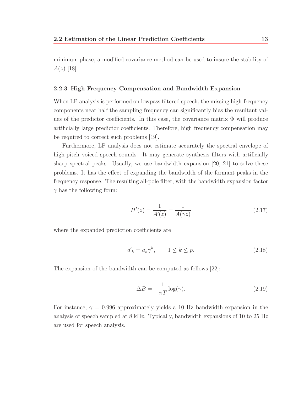minimum phase, a modified covariance method can be used to insure the stability of  $A(z)$  [18].

### **2.2.3 High Frequency Compensation and Bandwidth Expansion**

When LP analysis is performed on lowpass filtered speech, the missing high-frequency components near half the sampling frequency can significantly bias the resultant values of the predictor coefficients. In this case, the covariance matrix  $\Phi$  will produce artificially large predictor coefficients. Therefore, high frequency compensation may be required to correct such problems [19].

Furthermore, LP analysis does not estimate accurately the spectral envelope of high-pitch voiced speech sounds. It may generate synthesis filters with artificially sharp spectral peaks. Usually, we use bandwidth expansion [20, 21] to solve these problems. It has the effect of expanding the bandwidth of the formant peaks in the frequency response. The resulting all-pole filter, with the bandwidth expansion factor  $\gamma$  has the following form:

$$
H'(z) = \frac{1}{A'(z)} = \frac{1}{A(\gamma z)}
$$
\n(2.17)

where the expanded prediction coefficients are

$$
a'_k = a_k \gamma^k, \qquad 1 \le k \le p. \tag{2.18}
$$

The expansion of the bandwidth can be computed as follows [22]:

$$
\Delta B = -\frac{1}{\pi T} \log(\gamma). \tag{2.19}
$$

For instance,  $\gamma = 0.996$  approximately yields a 10 Hz bandwidth expansion in the analysis of speech sampled at 8 kHz. Typically, bandwidth expansions of 10 to 25 Hz are used for speech analysis.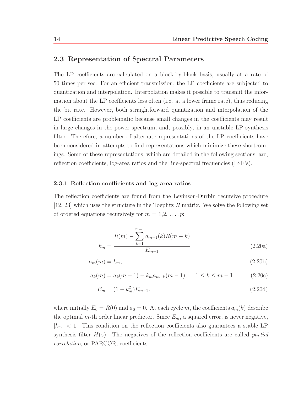### **2.3 Representation of Spectral Parameters**

The LP coefficients are calculated on a block-by-block basis, usually at a rate of 50 times per sec. For an efficient transmission, the LP coefficients are subjected to quantization and interpolation. Interpolation makes it possible to transmit the information about the LP coefficients less often (i.e. at a lower frame rate), thus reducing the bit rate. However, both straightforward quantization and interpolation of the LP coefficients are problematic because small changes in the coefficients may result in large changes in the power spectrum, and, possibly, in an unstable LP synthesis filter. Therefore, a number of alternate representations of the LP coefficients have been considered in attempts to find representations which minimize these shortcomings. Some of these representations, which are detailed in the following sections, are, reflection coefficients, log-area ratios and the line-spectral frequencies (LSF's).

#### **2.3.1 Reflection coefficients and log-area ratios**

The reflection coefficients are found from the Levinson-Durbin recursive procedure [12, 23] which uses the structure in the Toeplitz R matrix. We solve the following set of ordered equations recursively for  $m = 1, 2, \ldots, p$ :

$$
k_m = \frac{R(m) - \sum_{k=1}^{m-1} a_{m-1}(k)R(m-k)}{E_{m-1}}
$$
 (2.20a)

$$
a_m(m) = k_m,\tag{2.20b}
$$

$$
a_k(m) = a_k(m-1) - k_m a_{m-k}(m-1), \quad 1 \le k \le m-1 \tag{2.20c}
$$

$$
E_m = (1 - k_m^2) E_{m-1}.
$$
\n(2.20d)

where initially  $E_0 = R(0)$  and  $a_0 = 0$ . At each cycle m, the coefficients  $a_m(k)$  describe the optimal m-th order linear predictor. Since  $E_m$ , a squared error, is never negative,  $|k_m|$  < 1. This condition on the reflection coefficients also guarantees a stable LP synthesis filter  $H(z)$ . The negatives of the reflection coefficients are called *partial* correlation, or PARCOR, coefficients.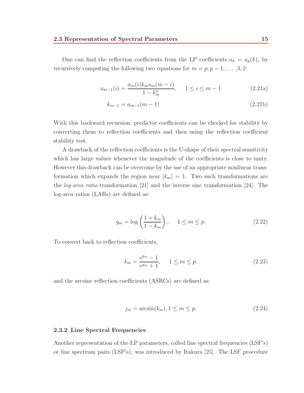One can find the reflection coefficients from the LP coefficients  $a_k = a_p(k)$ , by recursively computing the following two equations for  $m = p, p - 1, \ldots, 3, 2$ :

$$
a_{m-1}(i) = \frac{a_m(i)k_m a_m (m-i)}{1 - k_m^2}, \quad 1 \le i \le m-1
$$
\n(2.21a)

$$
k_{m-1} = a_{m-1}(m-1) \tag{2.21b}
$$

With this backward recursion, predictor coefficients can be checked for stability by converting them to reflection coefficients and then using the reflection coefficient stability test.

A drawback of the reflection coefficients is the U-shape of their spectral sensitivity which has large values whenever the magnitude of the coefficients is close to unity. However this drawback can be overcome by the use of an appropriate nonlinear transformation which expands the region near  $|k_m| = 1$ . Two such transformations are the log-area ratio transformation [21] and the inverse sine transformation [24]. The log-area ratios (LARs) are defined as:

$$
g_m = \log\left(\frac{1 + k_m}{1 - k_m}\right), \quad 1 \le m \le p. \tag{2.22}
$$

To convert back to reflection coefficients,

$$
k_m = \frac{e^{g_m} - 1}{e^{g_m} + 1}, \quad 1 \le m \le p.
$$
 (2.23)

and the arcsine reflection coefficients (ASRCs) are defined as:

$$
j_m = \arcsin(k_m), 1 \le m \le p. \tag{2.24}
$$

#### **2.3.2 Line Spectral Frequencies**

Another representation of the LP parameters, called line spectral frequencies (LSF's) or line spectrum pairs (LSP's), was introduced by Itakura [25]. The LSF procedure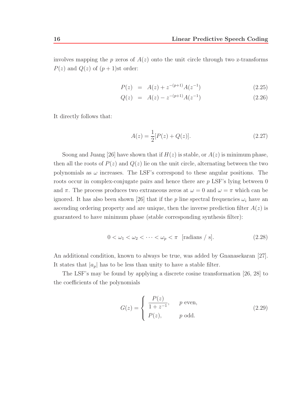involves mapping the p zeros of  $A(z)$  onto the unit circle through two z-transforms  $P(z)$  and  $Q(z)$  of  $(p+1)$ st order:

$$
P(z) = A(z) + z^{-(p+1)}A(z^{-1})
$$
\n(2.25)

$$
Q(z) = A(z) - z^{-(p+1)}A(z^{-1})
$$
\n(2.26)

It directly follows that:

$$
A(z) = \frac{1}{2}[P(z) + Q(z)].
$$
\n(2.27)

Soong and Juang [26] have shown that if  $H(z)$  is stable, or  $A(z)$  is minimum phase, then all the roots of  $P(z)$  and  $Q(z)$  lie on the unit circle, alternating between the two polynomials as  $\omega$  increases. The LSF's correspond to these angular positions. The roots occur in complex-conjugate pairs and hence there are  $p$  LSF's lying between 0 and  $\pi$ . The process produces two extraneous zeros at  $\omega = 0$  and  $\omega = \pi$  which can be ignored. It has also been shown [26] that if the p line spectral frequencies  $\omega_i$  have an ascending ordering property and are unique, then the inverse prediction filter  $A(z)$  is guaranteed to have minimum phase (stable corresponding synthesis filter):

$$
0 < \omega_1 < \omega_2 < \dots < \omega_p < \pi \quad \text{[radians / s]}.\tag{2.28}
$$

An additional condition, known to always be true, was added by Gnanasekaran [27]. It states that  $|a_p|$  has to be less than unity to have a stable filter.

The LSF's may be found by applying a discrete cosine transformation [26, 28] to the coefficients of the polynomials

$$
G(z) = \begin{cases} \frac{P(z)}{1+z^{-1}}, & p \text{ even}, \\ P(z), & p \text{ odd}. \end{cases}
$$
 (2.29)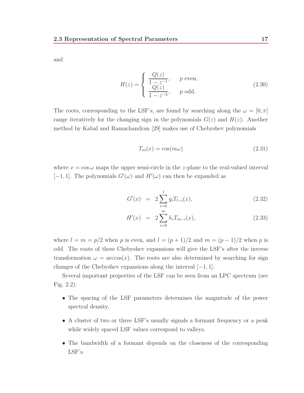and

$$
H(z) = \begin{cases} \frac{Q(z)}{1 - z^{-1}}, & p \text{ even,} \\ \frac{Q(z)}{1 - z^{-2}}, & p \text{ odd.} \end{cases}
$$
 (2.30)

The roots, corresponding to the LSF's, are found by searching along the  $\omega = [0, \pi]$ range iteratively for the changing sign in the polynomials  $G(z)$  and  $H(z)$ . Another method by Kabal and Ramachandran [29] makes use of Chebyshev polynomials

$$
T_m(x) = \cos(m\omega) \tag{2.31}
$$

where  $x = \cos \omega$  maps the upper semi-circle in the z-plane to the real-valued interval  $[-1, 1]$ . The polynomials  $G'(\omega)$  and  $H'(\omega)$  can then be expanded as

$$
G'(x) = 2 \sum_{i=0}^{l} g_i T_{l-i}(x), \qquad (2.32)
$$

$$
H'(x) = 2\sum_{i=0}^{m} h_i T_{m-i}(x), \qquad (2.33)
$$

where  $l = m = p/2$  when p is even, and  $l = (p + 1)/2$  and  $m = (p - 1)/2$  when p is odd. The roots of these Chebyshev expansions will give the LSF's after the inverse transformation  $\omega = \arccos(x)$ . The roots are also determined by searching for sign changes of the Chebyshev expansions along the interval  $[-1, 1]$ .

Several important properties of the LSF can be seen from an LPC spectrum (see Fig. 2.2):

- The spacing of the LSF parameters determines the magnitude of the power spectral density.
- A cluster of two or three LSF's usually signals a formant frequency or a peak while widely spaced LSF values correspond to valleys.
- The bandwidth of a formant depends on the closeness of the corresponding LSF's.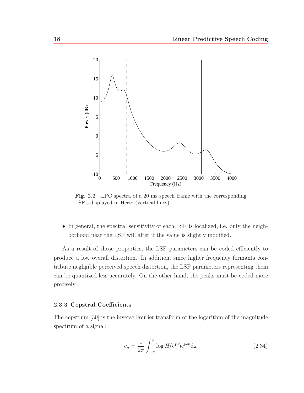

Fig. 2.2 LPC spectra of a 20 ms speech frame with the corresponding LSF's displayed in Hertz (vertical lines).

• In general, the spectral sensitivity of each LSF is localized, i.e. only the neighborhood near the LSF will alter if the value is slightly modified.

As a result of those properties, the LSF parameters can be coded efficiently to produce a low overall distortion. In addition, since higher frequency formants contribute negligible perceived speech distortion, the LSF parameters representing them can be quantized less accurately. On the other hand, the peaks must be coded more precisely.

#### **2.3.3 Cepstral Coefficients**

The cepstrum [30] is the inverse Fourier transform of the logarithm of the magnitude spectrum of a signal:

$$
c_n = \frac{1}{2\pi} \int_{-\pi}^{\pi} \log H(e^{j\omega}) e^{j\omega n} d\omega \qquad (2.34)
$$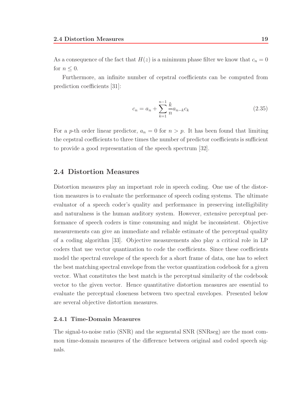As a consequence of the fact that  $H(z)$  is a minimum phase filter we know that  $c_n = 0$ for  $n \leq 0$ .

Furthermore, an infinite number of cepstral coefficients can be computed from prediction coefficients [31]:

$$
c_n = a_n + \sum_{k=1}^{n-1} \frac{k}{n} a_{n-k} c_k
$$
\n(2.35)

For a p-th order linear predictor,  $a_n = 0$  for  $n > p$ . It has been found that limiting the cepstral coefficients to three times the number of predictor coefficients is sufficient to provide a good representation of the speech spectrum [32].

### **2.4 Distortion Measures**

Distortion measures play an important role in speech coding. One use of the distortion measures is to evaluate the performance of speech coding systems. The ultimate evaluator of a speech coder's quality and performance in preserving intelligibility and naturalness is the human auditory system. However, extensive perceptual performance of speech coders is time consuming and might be inconsistent. Objective measurements can give an immediate and reliable estimate of the perceptual quality of a coding algorithm [33]. Objective measurements also play a critical role in LP coders that use vector quantization to code the coefficients. Since these coefficients model the spectral envelope of the speech for a short frame of data, one has to select the best matching spectral envelope from the vector quantization codebook for a given vector. What constitutes the best match is the perceptual similarity of the codebook vector to the given vector. Hence quantitative distortion measures are essential to evaluate the perceptual closeness between two spectral envelopes. Presented below are several objective distortion measures.

### **2.4.1 Time-Domain Measures**

The signal-to-noise ratio (SNR) and the segmental SNR (SNRseg) are the most common time-domain measures of the difference between original and coded speech signals.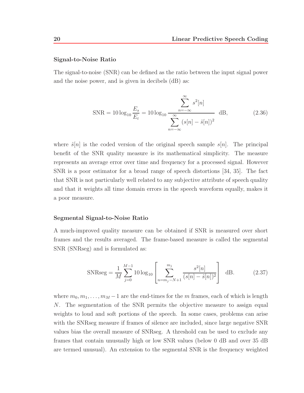#### **Signal-to-Noise Ratio**

The signal-to-noise (SNR) can be defined as the ratio between the input signal power and the noise power, and is given in decibels (dB) as:

$$
SNR = 10 \log_{10} \frac{E_s}{E_{\varepsilon}} = 10 \log_{10} \frac{\sum_{n=-\infty}^{\infty} s^2[n]}{\sum_{n=-\infty}^{\infty} (s[n] - \hat{s}[n])^2} dB,
$$
 (2.36)

where  $\hat{s}[n]$  is the coded version of the original speech sample  $s[n]$ . The principal benefit of the SNR quality measure is its mathematical simplicity. The measure represents an average error over time and frequency for a processed signal. However SNR is a poor estimator for a broad range of speech distortions [34, 35]. The fact that SNR is not particularly well related to any subjective attribute of speech quality and that it weights all time domain errors in the speech waveform equally, makes it a poor measure.

#### **Segmental Signal-to-Noise Ratio**

A much-improved quality measure can be obtained if SNR is measured over short frames and the results averaged. The frame-based measure is called the segmental SNR (SNRseg) and is formulated as:

$$
\text{SNRseg} = \frac{1}{M} \sum_{j=0}^{M-1} 10 \log_{10} \left[ \sum_{n=m_j-N+1}^{m_j} \frac{s^2[n]}{(s[n]-\hat{s}[n])^2} \right] \quad \text{dB.} \tag{2.37}
$$

where  $m_0, m_1, \ldots, m_M - 1$  are the end-times for the m frames, each of which is length N. The segmentation of the SNR permits the objective measure to assign equal weights to loud and soft portions of the speech. In some cases, problems can arise with the SNRseg measure if frames of silence are included, since large negative SNR values bias the overall measure of SNRseg. A threshold can be used to exclude any frames that contain unusually high or low SNR values (below 0 dB and over 35 dB are termed unusual). An extension to the segmental SNR is the frequency weighted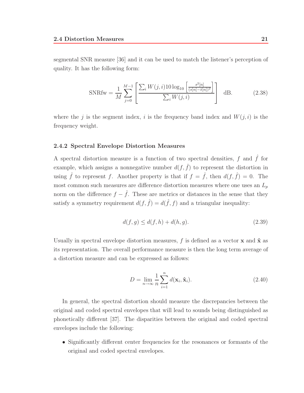segmental SNR measure [36] and it can be used to match the listener's perception of quality. It has the following form:

SNRfw = 
$$
\frac{1}{M} \sum_{j=0}^{M-1} \left[ \frac{\sum_{i} W(j,i) 10 \log_{10} \left[ \frac{s^2 [n]}{(s[n] - \hat{s}[n])^2} \right]}{\sum_{i} W(j,i)} \right] dB.
$$
 (2.38)

where the j is the segment index, i is the frequency band index and  $W(j, i)$  is the frequency weight.

#### **2.4.2 Spectral Envelope Distortion Measures**

A spectral distortion measure is a function of two spectral densities, f and  $\hat{f}$  for example, which assigns a nonnegative number  $d(f, \hat{f})$  to represent the distortion in using  $\hat{f}$  to represent f. Another property is that if  $f = \hat{f}$ , then  $d(f, \hat{f}) = 0$ . The most common such measures are difference distortion measures where one uses an  $L_p$ norm on the difference  $f - \hat{f}$ . These are metrics or distances in the sense that they satisfy a symmetry requirement  $d(f, \hat{f}) = d(\hat{f}, f)$  and a triangular inequality:

$$
d(f, g) \le d(f, h) + d(h, g). \tag{2.39}
$$

Usually in spectral envelope distortion measures, f is defined as a vector **x** and  $\hat{\mathbf{x}}$  as its representation. The overall performance measure is then the long term average of a distortion measure and can be expressed as follows:

$$
D = \lim_{n \to \infty} \frac{1}{n} \sum_{i=1}^{n} d(\mathbf{x}_i, \mathbf{\hat{x}}_i).
$$
 (2.40)

In general, the spectral distortion should measure the discrepancies between the original and coded spectral envelopes that will lead to sounds being distinguished as phonetically different [37]. The disparities between the original and coded spectral envelopes include the following:

• Significantly different center frequencies for the resonances or formants of the original and coded spectral envelopes.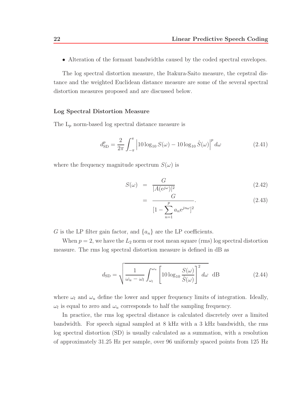• Alteration of the formant bandwidths caused by the coded spectral envelopes.

The log spectral distortion measure, the Itakura-Saito measure, the cepstral distance and the weighted Euclidean distance measure are some of the several spectral distortion measures proposed and are discussed below.

#### **Log Spectral Distortion Measure**

The  $L_p$  norm-based log spectral distance measure is

$$
d_{\text{SD}}^p = \frac{2}{2\pi} \int_{-\pi}^{\pi} \left| 10 \log_{10} S(\omega) - 10 \log_{10} \hat{S}(\omega) \right|^p d\omega \tag{2.41}
$$

where the frequency magnitude spectrum  $S(\omega)$  is

$$
S(\omega) = \frac{G}{|A(e^{j\omega})|^2} \tag{2.42}
$$

$$
= \frac{G}{[1 - \sum_{n=1}^{p} a_n e^{j n \omega}]^2}.
$$
 (2.43)

G is the LP filter gain factor, and  $\{a_n\}$  are the LP coefficients.

When  $p = 2$ , we have the  $L_2$  norm or root mean square (rms) log spectral distortion measure. The rms log spectral distortion measure is defined in dB as

$$
d_{\rm SD} = \sqrt{\frac{1}{\omega_u - \omega_l} \int_{\omega_l}^{\omega_u} \left[ 10 \log_{10} \frac{S(\omega)}{\hat{S}(\omega)} \right]^2 d\omega} \, \, \mathrm{dB} \tag{2.44}
$$

where  $\omega_l$  and  $\omega_u$  define the lower and upper frequency limits of integration. Ideally,  $\omega_l$  is equal to zero and  $\omega_u$  corresponds to half the sampling frequency.

In practice, the rms log spectral distance is calculated discretely over a limited bandwidth. For speech signal sampled at 8 kHz with a 3 kHz bandwidth, the rms log spectral distortion (SD) is usually calculated as a summation, with a resolution of approximately 31.25 Hz per sample, over 96 uniformly spaced points from 125 Hz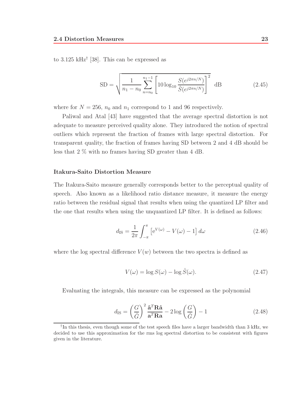to 3.125 kHz<sup>†</sup> [38]. This can be expressed as

$$
SD = \sqrt{\frac{1}{n_1 - n_0} \sum_{n=n_0}^{n_1 - 1} \left[ 10 \log_{10} \frac{S(e^{j2\pi n/N})}{\hat{S}(e^{j2\pi n/N})} \right]^2} dB
$$
 (2.45)

where for  $N = 256$ ,  $n_0$  and  $n_1$  correspond to 1 and 96 respectively.

Paliwal and Atal [43] have suggested that the average spectral distortion is not adequate to measure perceived quality alone. They introduced the notion of spectral outliers which represent the fraction of frames with large spectral distortion. For transparent quality, the fraction of frames having SD between 2 and 4 dB should be less that 2 % with no frames having SD greater than 4 dB.

### **Itakura-Saito Distortion Measure**

The Itakura-Saito measure generally corresponds better to the perceptual quality of speech. Also known as a likelihood ratio distance measure, it measure the energy ratio between the residual signal that results when using the quantized LP filter and the one that results when using the unquantized LP filter. It is defined as follows:

$$
d_{\rm IS} = \frac{1}{2\pi} \int_{-\pi}^{\pi} \left[ e^{V(\omega)} - V(\omega) - 1 \right] d\omega \qquad (2.46)
$$

where the log spectral difference  $V(w)$  between the two spectra is defined as

$$
V(\omega) = \log S(\omega) - \log \hat{S}(\omega).
$$
 (2.47)

Evaluating the integrals, this measure can be expressed as the polynomial

$$
d_{\rm IS} = \left(\frac{G}{\hat{G}}\right)^2 \frac{\hat{\mathbf{a}}^T \mathbf{R} \hat{\mathbf{a}}}{\mathbf{a}^T \mathbf{R} \hat{\mathbf{a}}} - 2 \log \left(\frac{G}{\hat{G}}\right) - 1
$$
 (2.48)

<sup>†</sup>In this thesis, even though some of the test speech files have a larger bandwidth than 3 kHz, we decided to use this approximation for the rms log spectral distortion to be consistent with figures given in the literature.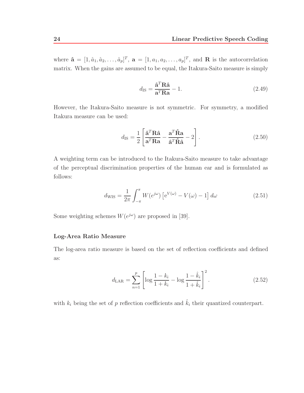where  $\hat{\mathbf{a}} = [1, \hat{a}_1, \hat{a}_2, \dots, \hat{a}_p]^T$ ,  $\mathbf{a} = [1, a_1, a_2, \dots, a_p]^T$ , and **R** is the autocorrelation matrix. When the gains are assumed to be equal, the Itakura-Saito measure is simply

$$
d_{\rm IS} = \frac{\hat{\mathbf{a}}^T \mathbf{R} \hat{\mathbf{a}}}{\mathbf{a}^T \mathbf{R} \hat{\mathbf{a}}} - 1.
$$
 (2.49)

However, the Itakura-Saito measure is not symmetric. For symmetry, a modified Itakura measure can be used:

$$
d_{\rm IS} = \frac{1}{2} \left[ \frac{\hat{\mathbf{a}}^T \mathbf{R} \hat{\mathbf{a}}}{\mathbf{a}^T \mathbf{R} \hat{\mathbf{a}}} - \frac{\mathbf{a}^T \hat{\mathbf{R}} \hat{\mathbf{a}}}{\hat{\mathbf{a}}^T \hat{\mathbf{R}} \hat{\mathbf{a}}} - 2 \right].
$$
 (2.50)

A weighting term can be introduced to the Itakura-Saito measure to take advantage of the perceptual discrimination properties of the human ear and is formulated as follows:

$$
d_{\text{WIS}} = \frac{1}{2\pi} \int_{-\pi}^{\pi} W(e^{j\omega}) \left[ e^{V(\omega)} - V(\omega) - 1 \right] d\omega \tag{2.51}
$$

Some weighting schemes  $W(e^{j\omega})$  are proposed in [39].

#### **Log-Area Ratio Measure**

The log-area ratio measure is based on the set of reflection coefficients and defined as:

$$
d_{\text{LAR}} = \sum_{n=1}^{p} \left[ \log \frac{1 - k_i}{1 + k_i} - \log \frac{1 - \hat{k}_i}{1 + \hat{k}_i} \right]^2.
$$
 (2.52)

with  $k_i$  being the set of p reflection coefficients and  $\hat{k}_i$  their quantized counterpart.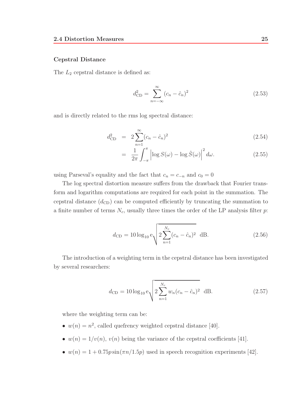#### **Cepstral Distance**

The  $L_2$  cepstral distance is defined as:

$$
d_{\rm CD}^2 = \sum_{n = -\infty}^{\infty} (c_n - \hat{c}_n)^2
$$
 (2.53)

and is directly related to the rms log spectral distance:

$$
d_{\rm CD}^2 = 2 \sum_{n=1}^{\infty} (c_n - \hat{c}_n)^2
$$
 (2.54)

$$
= \frac{1}{2\pi} \int_{-\pi}^{\pi} \left| \log S(\omega) - \log \hat{S}(\omega) \right|^2 d\omega.
$$
 (2.55)

using Parseval's equality and the fact that  $c_n = c_{-n}$  and  $c_0 = 0$ 

The log spectral distortion measure suffers from the drawback that Fourier transform and logarithm computations are required for each point in the summation. The cepstral distance  $(d_{CD})$  can be computed efficiently by truncating the summation to a finite number of terms  $N_c$ , usually three times the order of the LP analysis filter p:

$$
d_{\rm CD} = 10 \log_{10} e \sqrt{2 \sum_{n=1}^{N_c} (c_n - \hat{c}_n)^2} \, \, \mathrm{dB.} \tag{2.56}
$$

The introduction of a weighting term in the cepstral distance has been investigated by several researchers:

$$
d_{\rm CD} = 10 \log_{10} e \sqrt{2 \sum_{n=1}^{N_c} w_n (c_n - \hat{c}_n)^2} dB.
$$
 (2.57)

where the weighting term can be:

- $w(n) = n^2$ , called quefrency weighted cepstral distance [40].
- $w(n)=1/v(n)$ ,  $v(n)$  being the variance of the cepstral coefficients [41].
- $w(n)=1+0.75p\sin(\pi n/1.5p)$  used in speech recognition experiments [42].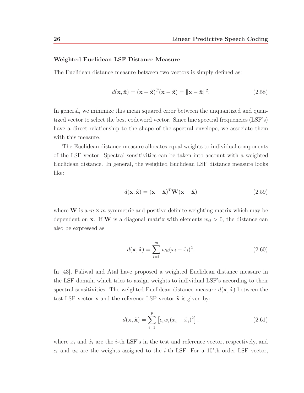#### **Weighted Euclidean LSF Distance Measure**

The Euclidean distance measure between two vectors is simply defined as:

$$
d(\mathbf{x}, \hat{\mathbf{x}}) = (\mathbf{x} - \hat{\mathbf{x}})^T (\mathbf{x} - \hat{\mathbf{x}}) = ||\mathbf{x} - \hat{\mathbf{x}}||^2.
$$
 (2.58)

In general, we minimize this mean squared error between the unquantized and quantized vector to select the best codeword vector. Since line spectral frequencies (LSF's) have a direct relationship to the shape of the spectral envelope, we associate them with this measure.

The Euclidean distance measure allocates equal weights to individual components of the LSF vector. Spectral sensitivities can be taken into account with a weighted Euclidean distance. In general, the weighted Euclidean LSF distance measure looks like:

$$
d(\mathbf{x}, \hat{\mathbf{x}}) = (\mathbf{x} - \hat{\mathbf{x}})^T \mathbf{W} (\mathbf{x} - \hat{\mathbf{x}})
$$
(2.59)

where **W** is a  $m \times m$  symmetric and positive definite weighting matrix which may be dependent on **x**. If **W** is a diagonal matrix with elements  $w_{ii} > 0$ , the distance can also be expressed as

$$
d(\mathbf{x}, \hat{\mathbf{x}}) = \sum_{i=1}^{m} w_{ii} (x_i - \hat{x}_i)^2.
$$
 (2.60)

In [43], Paliwal and Atal have proposed a weighted Euclidean distance measure in the LSF domain which tries to assign weights to individual LSF's according to their spectral sensitivities. The weighted Euclidean distance measure  $d(\mathbf{x}, \hat{\mathbf{x}})$  between the test LSF vector **x** and the reference LSF vector  $\hat{\mathbf{x}}$  is given by:

$$
d(\mathbf{x}, \hat{\mathbf{x}}) = \sum_{i=1}^{p} \left[ c_i w_i (x_i - \hat{x}_i)^2 \right].
$$
 (2.61)

where  $x_i$  and  $\hat{x}_i$  are the *i*-th LSF's in the test and reference vector, respectively, and  $c_i$  and  $w_i$  are the weights assigned to the *i*-th LSF. For a 10'th order LSF vector,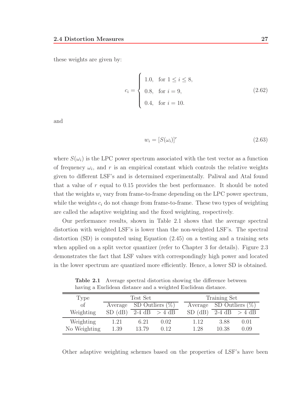these weights are given by:

$$
c_i = \begin{cases} 1.0, & \text{for } 1 \le i \le 8, \\ 0.8, & \text{for } i = 9, \\ 0.4, & \text{for } i = 10. \end{cases} \tag{2.62}
$$

and

$$
w_i = [S(\omega_i)]^r \tag{2.63}
$$

where  $S(\omega_i)$  is the LPC power spectrum associated with the test vector as a function of frequency  $\omega_i$ , and r is an empirical constant which controls the relative weights given to different LSF's and is determined experimentally. Paliwal and Atal found that a value of  $r$  equal to 0.15 provides the best performance. It should be noted that the weights  $w_i$  vary from frame-to-frame depending on the LPC power spectrum, while the weights  $c_i$  do not change from frame-to-frame. These two types of weighting are called the adaptive weighting and the fixed weighting, respectively.

Our performance results, shown in Table 2.1 shows that the average spectral distortion with weighted LSF's is lower than the non-weighted LSF's. The spectral distortion (SD) is computed using Equation (2.45) on a testing and a training sets when applied on a split vector quantizer (refer to Chapter 3 for details). Figure 2.3 demonstrates the fact that LSF values with correspondingly high power and located in the lower spectrum are quantized more efficiently. Hence, a lower SD is obtained.

**Table 2.1** Average spectral distortion showing the difference between having a Euclidean distance and a weighted Euclidean distance.

| Type         | Test Set    |                            |                 | Training Set |                    |                 |  |
|--------------|-------------|----------------------------|-----------------|--------------|--------------------|-----------------|--|
| of           |             | Average SD Outliers $(\%)$ |                 | Average      | SD Outliers $(\%)$ |                 |  |
| Weighting    | $SD$ $(dB)$ |                            | 2-4 dB $>$ 4 dB | $SD$ (dB)    |                    | 2-4 dB $>$ 4 dB |  |
| Weighting    | 1.21        | 6.21                       | 0.02            | 1.12         | 3.88               | 0.01            |  |
| No Weighting | 1.39        | 13.79                      | 0.12            | 1.28         | 10.38              | 0.09            |  |

Other adaptive weighting schemes based on the properties of LSF's have been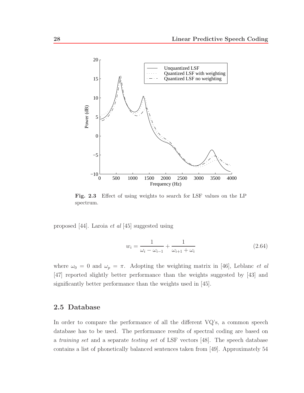

**Fig. 2.3** Effect of using weights to search for LSF values on the LP spectrum.

proposed [44]. Laroia et al [45] suggested using

$$
w_i = \frac{1}{\omega_i - \omega_{i-1}} + \frac{1}{\omega_{i+1} + \omega_i}
$$
 (2.64)

where  $\omega_0 = 0$  and  $\omega_p = \pi$ . Adopting the weighting matrix in [46], Leblanc *et al* [47] reported slightly better performance than the weights suggested by [43] and significantly better performance than the weights used in [45].

## **2.5 Database**

In order to compare the performance of all the different VQ's, a common speech database has to be used. The performance results of spectral coding are based on a training set and a separate testing set of LSF vectors [48]. The speech database contains a list of phonetically balanced sentences taken from [49]. Approximately 54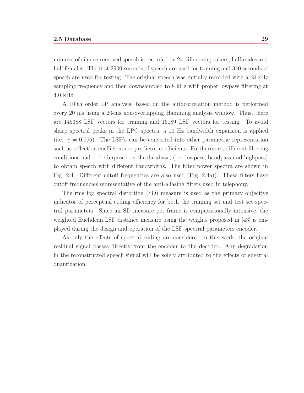minutes of silence-removed speech is recorded by 24 different speakers, half males and half females. The first 2900 seconds of speech are used for training and 340 seconds of speech are used for testing. The original speech was initially recorded with a 48 kHz sampling frequency and then downsampled to 8 kHz with proper lowpass filtering at 4.0 kHz.

A 10'th order LP analysis, based on the autocorrelation method is performed every 20 ms using a 20-ms non-overlapping Hamming analysis window. Thus, there are 145388 LSF vectors for training and 16189 LSF vectors for testing. To avoid sharp spectral peaks in the LPC spectra, a 10 Hz bandwidth expansion is applied (i.e.  $\gamma = 0.996$ ). The LSF's can be converted into other parametric representation such as reflection coefficients or predictor coefficients. Furthermore, different filtering conditions had to be imposed on the database, (i.e. lowpass, bandpass and highpass) to obtain speech with different bandwidths. The filter power spectra are shown in Fig. 2.4. Different cutoff frequencies are also used (Fig. 2.4a)). These filters have cutoff frequencies representative of the anti-aliasing filters used in telephony.

The rms log spectral distortion (SD) measure is used as the primary objective indicator of perceptual coding efficiency for both the training set and test set spectral parameters. Since an SD measure per frame is computationally intensive, the weighted Euclidean LSF distance measure using the weights proposed in [43] is employed during the design and operation of the LSF spectral parameters encoder.

As only the effects of spectral coding are considered in this work, the original residual signal passes directly from the encoder to the decoder. Any degradation in the reconstructed speech signal will be solely attributed to the effects of spectral quantization.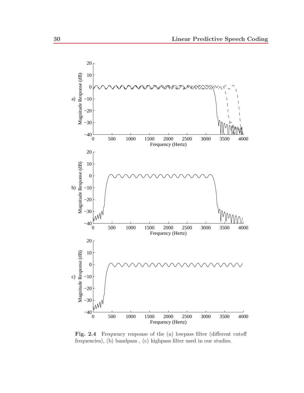

Fig. 2.4 Frequency response of the (a) lowpass filter (different cutoff frequencies), (b) bandpass , (c) highpass filter used in our studies.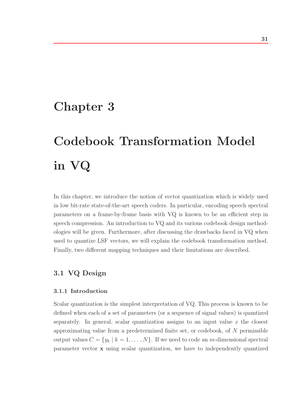# **Chapter 3**

# **Codebook Transformation Model in VQ**

In this chapter, we introduce the notion of vector quantization which is widely used in low bit-rate state-of-the-art speech coders. In particular, encoding speech spectral parameters on a frame-by-frame basis with VQ is known to be an efficient step in speech compression. An introduction to VQ and its various codebook design methodologies will be given. Furthermore, after discussing the drawbacks faced in VQ when used to quantize LSF vectors, we will explain the codebook transformation method. Finally, two different mapping techniques and their limitations are described.

## **3.1 VQ Design**

#### **3.1.1 Introduction**

Scalar quantization is the simplest interpretation of VQ. This process is known to be defined when each of a set of parameters (or a sequence of signal values) is quantized separately. In general, scalar quantization assigns to an input value  $x$  the closest approximating value from a predetermined finite set, or codebook, of N permissible output values  $C = \{y_k \mid k = 1, \ldots, N\}$ . If we need to code an m-dimensional spectral parameter vector **x** using scalar quantization, we have to independently quantized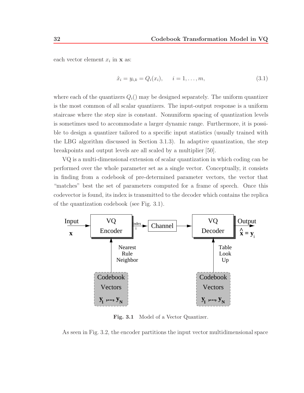each vector element  $x_i$  in **x** as:

$$
\hat{x}_i = y_{i,k} = Q_i(x_i), \qquad i = 1, \dots, m,
$$
\n(3.1)

where each of the quantizers  $Q_i$ ) may be designed separately. The uniform quantizer is the most common of all scalar quantizers. The input-output response is a uniform staircase where the step size is constant. Nonuniform spacing of quantization levels is sometimes used to accommodate a larger dynamic range. Furthermore, it is possible to design a quantizer tailored to a specific input statistics (usually trained with the LBG algorithm discussed in Section 3.1.3). In adaptive quantization, the step breakpoints and output levels are all scaled by a multiplier [50].

VQ is a multi-dimensional extension of scalar quantization in which coding can be performed over the whole parameter set as a single vector. Conceptually, it consists in finding from a codebook of pre-determined parameter vectors, the vector that "matches" best the set of parameters computed for a frame of speech. Once this codevector is found, its index is transmitted to the decoder which contains the replica of the quantization codebook (see Fig. 3.1).



**Fig. 3.1** Model of a Vector Quantizer.

As seen in Fig. 3.2, the encoder partitions the input vector multidimensional space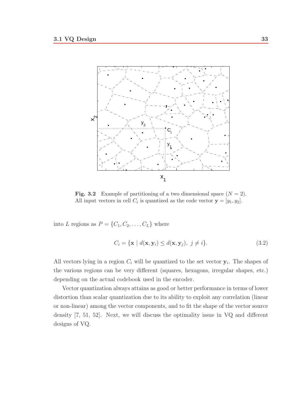

**Fig. 3.2** Example of partitioning of a two dimensional space  $(N = 2)$ . All input vectors in cell  $C_i$  is quantized as the code vector  $\mathbf{y} = [y_1, y_2]$ .

into L regions as  $P = \{C_1, C_2, \ldots, C_L\}$  where

$$
C_i = \{ \mathbf{x} \mid d(\mathbf{x}, \mathbf{y}_i) \le d(\mathbf{x}, \mathbf{y}_j), \ j \ne i \}. \tag{3.2}
$$

All vectors lying in a region  $C_i$  will be quantized to the set vector  $y_i$ . The shapes of the various regions can be very different (squares, hexagons, irregular shapes, etc.) depending on the actual codebook used in the encoder.

Vector quantization always attains as good or better performance in terms of lower distortion than scalar quantization due to its ability to exploit any correlation (linear or non-linear) among the vector components, and to fit the shape of the vector source density [7, 51, 52]. Next, we will discuss the optimality issue in VQ and different designs of VQ.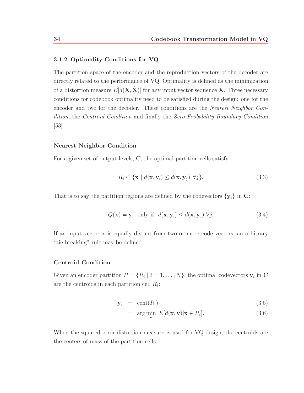#### **3.1.2 Optimality Conditions for VQ**

The partition space of the encoder and the reproduction vectors of the decoder are directly related to the performance of VQ. Optimality is defined as the minimization of a distortion measure  $E[d(\mathbf{X}, \hat{\mathbf{X}})]$  for any input vector sequence **X**. Three necessary conditions for codebook optimality need to be satisfied during the design: one for the encoder and two for the decoder. These conditions are the Nearest Neighbor Condition, the Centroid Condition and finally the Zero Probability Boundary Condition [53].

#### **Nearest Neighbor Condition**

For a given set of output levels, **C**, the optimal partition cells satisfy

$$
R_i \subset \{ \mathbf{x} \mid d(\mathbf{x}, \mathbf{y}_i) \le d(\mathbf{x}, \mathbf{y}_j); \forall j \}. \tag{3.3}
$$

That is to say the partition regions are defined by the codevectors  $\{y_i\}$  in  $C$ :

$$
Q(\mathbf{x}) = \mathbf{y}_i \text{ only if } d(\mathbf{x}, \mathbf{y}_i) \le d(\mathbf{x}, \mathbf{y}_j) \ \forall j. \tag{3.4}
$$

If an input vector **x** is equally distant from two or more code vectors, an arbitrary "tie-breaking" rule may be defined.

#### **Centroid Condition**

Given an encoder partition  $P = \{R_i \mid i = 1, \ldots, N\}$ , the optimal codevectors  $y_i$  in **C** are the centroids in each partition cell  $R_i$ :

$$
\mathbf{y}_i = \text{cent}(R_i) \tag{3.5}
$$

$$
= \underset{\mathbf{y}}{\arg\min} E[d(\mathbf{x}, \mathbf{y}) | \mathbf{x} \in R_i]. \tag{3.6}
$$

When the squared error distortion measure is used for VQ design, the centroids are the centers of mass of the partition cells.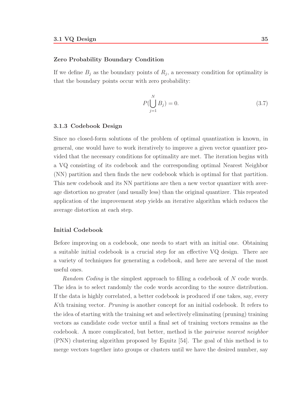#### **Zero Probability Boundary Condition**

If we define  $B_j$  as the boundary points of  $R_j$ , a necessary condition for optimality is that the boundary points occur with zero probability:

$$
P(\bigcup_{j=1}^{N} B_j) = 0.
$$
\n(3.7)

#### **3.1.3 Codebook Design**

Since no closed-form solutions of the problem of optimal quantization is known, in general, one would have to work iteratively to improve a given vector quantizer provided that the necessary conditions for optimality are met. The iteration begins with a VQ consisting of its codebook and the corresponding optimal Nearest Neighbor (NN) partition and then finds the new codebook which is optimal for that partition. This new codebook and its NN partitions are then a new vector quantizer with average distortion no greater (and usually less) than the original quantizer. This repeated application of the improvement step yields an iterative algorithm which reduces the average distortion at each step.

#### **Initial Codebook**

Before improving on a codebook, one needs to start with an initial one. Obtaining a suitable initial codebook is a crucial step for an effective VQ design. There are a variety of techniques for generating a codebook, and here are several of the most useful ones.

Random Coding is the simplest approach to filling a codebook of  $N$  code words. The idea is to select randomly the code words according to the source distribution. If the data is highly correlated, a better codebook is produced if one takes, say, every Kth training vector. Pruning is another concept for an initial codebook. It refers to the idea of starting with the training set and selectively eliminating (pruning) training vectors as candidate code vector until a final set of training vectors remains as the codebook. A more complicated, but better, method is the pairwise nearest neighbor (PNN) clustering algorithm proposed by Equitz [54]. The goal of this method is to merge vectors together into groups or clusters until we have the desired number, say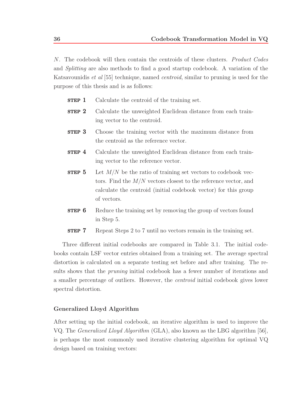N. The codebook will then contain the centroids of these clusters. Product Codes and Splitting are also methods to find a good startup codebook. A variation of the Katsavounidis *et al* [55] technique, named *centroid*, similar to pruning is used for the purpose of this thesis and is as follows:

- **STEP 1** Calculate the centroid of the training set.
- **STEP 2** Calculate the unweighted Euclidean distance from each training vector to the centroid.
- **STEP 3** Choose the training vector with the maximum distance from the centroid as the reference vector.
- **STEP 4** Calculate the unweighted Euclidean distance from each training vector to the reference vector.
- **STEP 5** Let  $M/N$  be the ratio of training set vectors to codebook vectors. Find the  $M/N$  vectors closest to the reference vector, and calculate the centroid (initial codebook vector) for this group of vectors.
- **STEP 6** Reduce the training set by removing the group of vectors found in Step 5.
- **STEP 7** Repeat Steps 2 to 7 until no vectors remain in the training set.

Three different initial codebooks are compared in Table 3.1. The initial codebooks contain LSF vector entries obtained from a training set. The average spectral distortion is calculated on a separate testing set before and after training. The results shows that the *pruning* initial codebook has a fewer number of iterations and a smaller percentage of outliers. However, the centroid initial codebook gives lower spectral distortion.

#### **Generalized Lloyd Algorithm**

After setting up the initial codebook, an iterative algorithm is used to improve the VQ. The *Generalized Lloyd Algorithm* (GLA), also known as the LBG algorithm [56], is perhaps the most commonly used iterative clustering algorithm for optimal VQ design based on training vectors: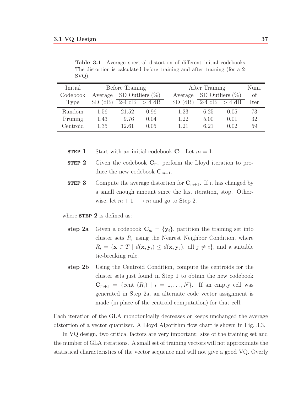| Initial  | Before Training            |       |                 | After Training |      |                    | Num. |
|----------|----------------------------|-------|-----------------|----------------|------|--------------------|------|
| Codebook | Average SD Outliers $(\%)$ |       |                 | Average        |      | SD Outliers $(\%)$ | of   |
| Type     | $SD$ $(dB)$                |       | 2-4 dB $>$ 4 dB | $SD$ $(dB)$    |      | 2-4 dB $>$ 4 dB    | Iter |
| Random   | 1.56                       | 21.52 | 0.96            | 1.23           | 6.25 | 0.05               | 73   |
| Pruning  | 1.43                       | 9.76  | 0.04            | 1.22           | 5.00 | 0.01               | 32   |
| Centroid | 1.35                       | 12.61 | 0.05            | 1.21           | 6.21 | 0.02               | 59   |

**Table 3.1** Average spectral distortion of different initial codebooks. The distortion is calculated before training and after training (for a 2- SVQ).

**STEP 1** Start with an initial codebook  $C_1$ . Let  $m = 1$ .

- **STEP 2** Given the codebook  $\mathbf{C}_m$ , perform the Lloyd iteration to produce the new codebook  $\mathbf{C}_{m+1}$ .
- **STEP 3** Compute the average distortion for  $\mathbf{C}_{m+1}$ . If it has changed by a small enough amount since the last iteration, stop. Otherwise, let  $m + 1 \longrightarrow m$  and go to Step 2.

where  $STEP$  2 is defined as:

- **step 2a** Given a codebook  $\mathbf{C}_m = {\mathbf{y}_i}$ , partition the training set into cluster sets  $R_i$  using the Nearest Neighbor Condition, where  $R_i = {\mathbf{x} \in T \mid d(\mathbf{x}, \mathbf{y}_i) \leq d(\mathbf{x}, \mathbf{y}_j), \text{ all } j \neq i}, \text{ and a suitable}$ tie-breaking rule.
- **step 2b** Using the Centroid Condition, compute the centroids for the cluster sets just found in Step 1 to obtain the new codebook  $\mathbf{C}_{m+1}$  = {cent  $(R_i)$  |  $i = 1, \ldots, N$ }. If an empty cell was generated in Step 2a, an alternate code vector assignment is made (in place of the centroid computation) for that cell.

Each iteration of the GLA monotonically decreases or keeps unchanged the average distortion of a vector quantizer. A Lloyd Algorithm flow chart is shown in Fig. 3.3.

In VQ design, two critical factors are very important: size of the training set and the number of GLA iterations. A small set of training vectors will not approximate the statistical characteristics of the vector sequence and will not give a good VQ. Overly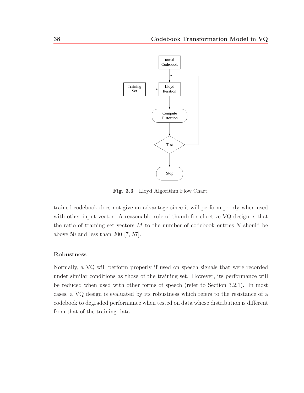

**Fig. 3.3** Lloyd Algorithm Flow Chart.

trained codebook does not give an advantage since it will perform poorly when used with other input vector. A reasonable rule of thumb for effective VQ design is that the ratio of training set vectors  $M$  to the number of codebook entries  $N$  should be above 50 and less than 200  $[7, 57]$ .

#### **Robustness**

Normally, a VQ will perform properly if used on speech signals that were recorded under similar conditions as those of the training set. However, its performance will be reduced when used with other forms of speech (refer to Section 3.2.1). In most cases, a VQ design is evaluated by its robustness which refers to the resistance of a codebook to degraded performance when tested on data whose distribution is different from that of the training data.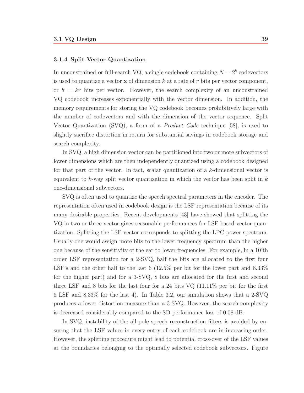#### **3.1.4 Split Vector Quantization**

In unconstrained or full-search VQ, a single codebook containing  $N = 2<sup>b</sup>$  codevectors is used to quantize a vector **x** of dimension  $k$  at a rate of  $r$  bits per vector component, or  $b = kr$  bits per vector. However, the search complexity of an unconstrained VQ codebook increases exponentially with the vector dimension. In addition, the memory requirements for storing the VQ codebook becomes prohibitively large with the number of codevectors and with the dimension of the vector sequence. Split Vector Quantization  $(SVQ)$ , a form of a *Product Code* technique [58], is used to slightly sacrifice distortion in return for substantial savings in codebook storage and search complexity.

In SVQ, a high dimension vector can be partitioned into two or more subvectors of lower dimensions which are then independently quantized using a codebook designed for that part of the vector. In fact, scalar quantization of a k-dimensional vector is equivalent to k-way split vector quantization in which the vector has been split in  $k$ one-dimensional subvectors.

SVQ is often used to quantize the speech spectral parameters in the encoder. The representation often used in codebook design is the LSF representation because of its many desirable properties. Recent developments [43] have showed that splitting the VQ in two or three vector gives reasonable performances for LSF based vector quantization. Splitting the LSF vector corresponds to splitting the LPC power spectrum. Usually one would assign more bits to the lower frequency spectrum than the higher one because of the sensitivity of the ear to lower frequencies. For example, in a 10'th order LSF representation for a 2-SVQ, half the bits are allocated to the first four LSF's and the other half to the last 6 (12.5% per bit for the lower part and  $8.33\%$ for the higher part) and for a 3-SVQ, 8 bits are allocated for the first and second three LSF and 8 bits for the last four for a 24 bits VQ (11.11% per bit for the first 6 LSF and 8.33% for the last 4). In Table 3.2, our simulation shows that a 2-SVQ produces a lower distortion measure than a 3-SVQ. However, the search complexity is decreased considerably compared to the SD performance loss of 0.08 dB.

In SVQ, instability of the all-pole speech reconstruction filters is avoided by ensuring that the LSF values in every entry of each codebook are in increasing order. However, the splitting procedure might lead to potential cross-over of the LSF values at the boundaries belonging to the optimally selected codebook subvectors. Figure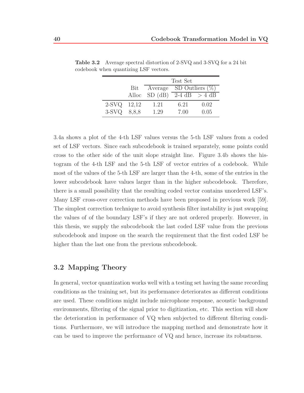|             |       | Test Set                   |                   |      |  |
|-------------|-------|----------------------------|-------------------|------|--|
|             | Bit   | Average SD Outliers $(\%)$ |                   |      |  |
|             |       | Alloc $SD(dB)$             | $2-4$ dB $> 4$ dB |      |  |
| 2-SVQ 12,12 |       | 1.21                       | 6.21              | 0.02 |  |
| $3-SVO$     | 8.8.8 | 1.29                       | 7.00              | 0.05 |  |

**Table 3.2** Average spectral distortion of 2-SVQ and 3-SVQ for a 24 bit codebook when quantizing LSF vectors.

3.4a shows a plot of the 4-th LSF values versus the 5-th LSF values from a coded set of LSF vectors. Since each subcodebook is trained separately, some points could cross to the other side of the unit slope straight line. Figure 3.4b shows the histogram of the 4-th LSF and the 5-th LSF of vector entries of a codebook. While most of the values of the 5-th LSF are larger than the 4-th, some of the entries in the lower subcodebook have values larger than in the higher subcodebook. Therefore, there is a small possibility that the resulting coded vector contains unordered LSF's. Many LSF cross-over correction methods have been proposed in previous work [59]. The simplest correction technique to avoid synthesis filter instability is just swapping the values of of the boundary LSF's if they are not ordered properly. However, in this thesis, we supply the subcodebook the last coded LSF value from the previous subcodebook and impose on the search the requirement that the first coded LSF be higher than the last one from the previous subcodebook.

### **3.2 Mapping Theory**

In general, vector quantization works well with a testing set having the same recording conditions as the training set, but its performance deteriorates as different conditions are used. These conditions might include microphone response, acoustic background environments, filtering of the signal prior to digitization, etc. This section will show the deterioration in performance of VQ when subjected to different filtering conditions. Furthermore, we will introduce the mapping method and demonstrate how it can be used to improve the performance of VQ and hence, increase its robustness.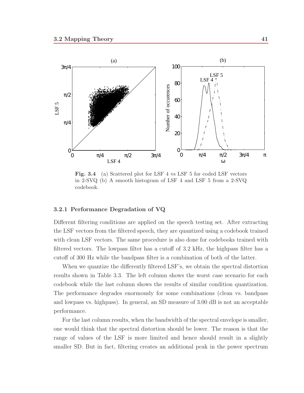

Fig. 3.4 (a) Scattered plot for LSF 4 vs LSF 5 for coded LSF vectors in 2-SVQ (b) A smooth histogram of LSF 4 and LSF 5 from a 2-SVQ codebook.

#### **3.2.1 Performance Degradation of VQ**

Different filtering conditions are applied on the speech testing set. After extracting the LSF vectors from the filtered speech, they are quantized using a codebook trained with clean LSF vectors. The same procedure is also done for codebooks trained with filtered vectors. The lowpass filter has a cutoff of 3.2 kHz, the highpass filter has a cutoff of 300 Hz while the bandpass filter is a combination of both of the latter.

When we quantize the differently filtered LSF's, we obtain the spectral distortion results shown in Table 3.3. The left column shows the worst case scenario for each codebook while the last column shows the results of similar condition quantization. The performance degrades enormously for some combinations (clean vs. bandpass and lowpass vs. highpass). In general, an SD measure of 3.00 dB is not an acceptable performance.

For the last column results, when the bandwidth of the spectral envelope is smaller, one would think that the spectral distortion should be lower. The reason is that the range of values of the LSF is more limited and hence should result in a slightly smaller SD. But in fact, filtering creates an additional peak in the power spectrum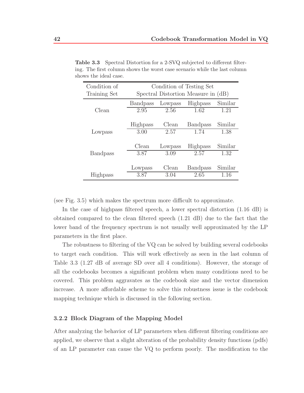| Condition of    | Condition of Testing Set            |         |                 |         |  |  |
|-----------------|-------------------------------------|---------|-----------------|---------|--|--|
| Training Set    | Spectral Distortion Measure in (dB) |         |                 |         |  |  |
|                 | <b>Bandpass</b>                     | Lowpass | Highpass        | Similar |  |  |
| Clean           | 2.95                                | 2.56    | 1.62            | 1.21    |  |  |
|                 |                                     |         |                 |         |  |  |
|                 | Highpass                            | Clean   | <b>Bandpass</b> | Similar |  |  |
| Lowpass         | 3.00                                | 2.57    | 1.74            | 1.38    |  |  |
|                 |                                     |         |                 |         |  |  |
|                 | Clean                               | Lowpass | <b>Highpass</b> | Similar |  |  |
| <b>Bandpass</b> | 3.87                                | 3.09    | 2.57            | 1.32    |  |  |
|                 |                                     |         |                 |         |  |  |
|                 | Lowpass                             | Clean   | <b>Bandpass</b> | Similar |  |  |
| Highpass        | 3.87                                | 3.04    | 2.65            | 1.16    |  |  |

**Table 3.3** Spectral Distortion for a 2-SVQ subjected to different filtering. The first column shows the worst case scenario while the last column shows the ideal case.

(see Fig. 3.5) which makes the spectrum more difficult to approximate.

In the case of highpass filtered speech, a lower spectral distortion (1.16 dB) is obtained compared to the clean filtered speech (1.21 dB) due to the fact that the lower band of the frequency spectrum is not usually well approximated by the LP parameters in the first place.

The robustness to filtering of the VQ can be solved by building several codebooks to target each condition. This will work effectively as seen in the last column of Table 3.3 (1.27 dB of average SD over all 4 conditions). However, the storage of all the codebooks becomes a significant problem when many conditions need to be covered. This problem aggravates as the codebook size and the vector dimension increase. A more affordable scheme to solve this robustness issue is the codebook mapping technique which is discussed in the following section.

#### **3.2.2 Block Diagram of the Mapping Model**

After analyzing the behavior of LP parameters when different filtering conditions are applied, we observe that a slight alteration of the probability density functions (pdfs) of an LP parameter can cause the VQ to perform poorly. The modification to the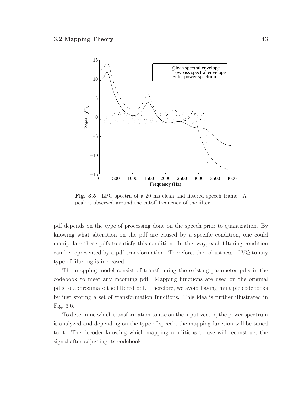

Fig. 3.5 LPC spectra of a 20 ms clean and filtered speech frame. A peak is observed around the cutoff frequency of the filter.

pdf depends on the type of processing done on the speech prior to quantization. By knowing what alteration on the pdf are caused by a specific condition, one could manipulate these pdfs to satisfy this condition. In this way, each filtering condition can be represented by a pdf transformation. Therefore, the robustness of VQ to any type of filtering is increased.

The mapping model consist of transforming the existing parameter pdfs in the codebook to meet any incoming pdf. Mapping functions are used on the original pdfs to approximate the filtered pdf. Therefore, we avoid having multiple codebooks by just storing a set of transformation functions. This idea is further illustrated in Fig. 3.6.

To determine which transformation to use on the input vector, the power spectrum is analyzed and depending on the type of speech, the mapping function will be tuned to it. The decoder knowing which mapping conditions to use will reconstruct the signal after adjusting its codebook.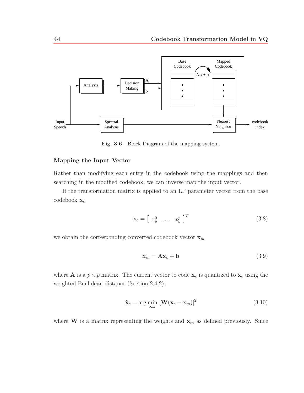

**Fig. 3.6** Block Diagram of the mapping system.

#### **Mapping the Input Vector**

Rather than modifying each entry in the codebook using the mappings and then searching in the modified codebook, we can inverse map the input vector.

If the transformation matrix is applied to an LP parameter vector from the base codebook **x**<sup>o</sup>

$$
\mathbf{x}_o = \begin{bmatrix} x_o^0 & \dots & x_o^p \end{bmatrix}^T
$$
 (3.8)

we obtain the corresponding converted codebook vector  $\mathbf{x}_m$ 

$$
\mathbf{x}_m = \mathbf{A}\mathbf{x}_o + \mathbf{b} \tag{3.9}
$$

where **A** is a  $p \times p$  matrix. The current vector to code  $\mathbf{x}_c$  is quantized to  $\hat{\mathbf{x}}_c$  using the weighted Euclidean distance (Section 2.4.2):

$$
\hat{\mathbf{x}}_c = \arg\min_{\mathbf{x}_m} \left[ \mathbf{W} (\mathbf{x}_c - \mathbf{x}_m) \right]^2 \tag{3.10}
$$

where **W** is a matrix representing the weights and  $\mathbf{x}_m$  as defined previously. Since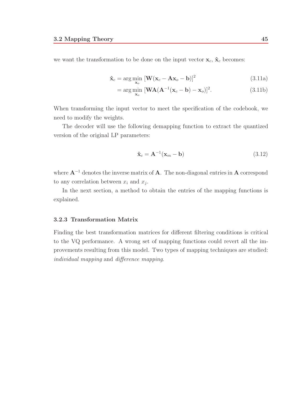we want the transformation to be done on the input vector  $\mathbf{x}_c$ ,  $\hat{\mathbf{x}}_c$  becomes:

$$
\hat{\mathbf{x}}_c = \arg\min_{\mathbf{x}_o} \left[ \mathbf{W} (\mathbf{x}_c - \mathbf{A}\mathbf{x}_o - \mathbf{b}) \right]^2 \tag{3.11a}
$$

$$
= \arg\min_{\mathbf{x}_o} \left[ \mathbf{W} \mathbf{A} (\mathbf{A}^{-1} (\mathbf{x}_c - \mathbf{b}) - \mathbf{x}_o) \right]^2. \tag{3.11b}
$$

When transforming the input vector to meet the specification of the codebook, we need to modify the weights.

The decoder will use the following demapping function to extract the quantized version of the original LP parameters:

$$
\hat{\mathbf{x}}_c = \mathbf{A}^{-1}(\mathbf{x}_m - \mathbf{b})\tag{3.12}
$$

where **A**−<sup>1</sup> denotes the inverse matrix of **A**. The non-diagonal entries in **A** correspond to any correlation between  $x_i$  and  $x_j$ .

In the next section, a method to obtain the entries of the mapping functions is explained.

#### **3.2.3 Transformation Matrix**

Finding the best transformation matrices for different filtering conditions is critical to the VQ performance. A wrong set of mapping functions could revert all the improvements resulting from this model. Two types of mapping techniques are studied: individual mapping and difference mapping.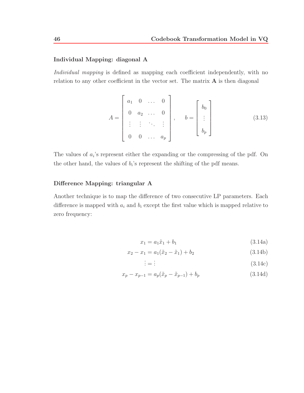#### **Individual Mapping: diagonal A**

Individual mapping is defined as mapping each coefficient independently, with no relation to any other coefficient in the vector set. The matrix **A** is then diagonal

$$
A = \begin{bmatrix} a_1 & 0 & \dots & 0 \\ 0 & a_2 & \dots & 0 \\ \vdots & \vdots & \ddots & \vdots \\ 0 & 0 & \dots & a_p \end{bmatrix}, \quad b = \begin{bmatrix} b_0 \\ \vdots \\ b_p \end{bmatrix}
$$
 (3.13)

The values of  $a_i$ 's represent either the expanding or the compressing of the pdf. On the other hand, the values of  $b_i$ 's represent the shifting of the pdf means.

#### **Difference Mapping: triangular A**

Another technique is to map the difference of two consecutive LP parameters. Each difference is mapped with  $a_i$  and  $b_i$  except the first value which is mapped relative to zero frequency:

$$
x_1 = a_1 \tilde{x}_1 + b_1 \tag{3.14a}
$$

$$
x_2 - x_1 = a_1(\tilde{x}_2 - \tilde{x}_1) + b_2 \tag{3.14b}
$$

$$
\vdots = \vdots \tag{3.14c}
$$

$$
x_p - x_{p-1} = a_p(\tilde{x}_p - \tilde{x}_{p-1}) + b_p \tag{3.14d}
$$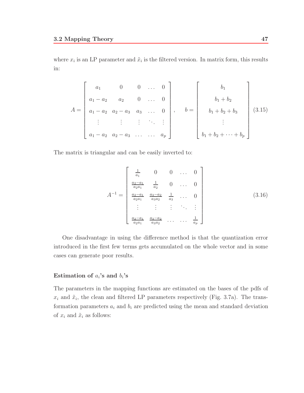where  $x_i$  is an LP parameter and  $\tilde{x}_i$  is the filtered version. In matrix form, this results in:

$$
A = \begin{bmatrix} a_1 & 0 & 0 & \dots & 0 \\ a_1 - a_2 & a_2 & 0 & \dots & 0 \\ a_1 - a_2 & a_2 - a_3 & a_3 & \dots & 0 \\ \vdots & \vdots & \vdots & \ddots & \vdots \\ a_1 - a_2 & a_2 - a_3 & \dots & a_p \end{bmatrix}, \quad b = \begin{bmatrix} b_1 \\ b_1 + b_2 \\ \vdots \\ b_1 + b_2 + b_3 \\ \vdots \\ b_1 + b_2 + \dots + b_p \end{bmatrix} (3.15)
$$

The matrix is triangular and can be easily inverted to:

$$
A^{-1} = \begin{bmatrix} \frac{1}{a_1} & 0 & 0 & \dots & 0\\ \frac{a_2 - a_1}{a_2 a_1} & \frac{1}{a_2} & 0 & \dots & 0\\ \frac{a_2 - a_1}{a_2 a_1} & \frac{a_3 - a_2}{a_3 a_2} & \frac{1}{a_3} & \dots & 0\\ \vdots & \vdots & \vdots & \ddots & \vdots\\ \frac{a_2 - a_1}{a_2 a_1} & \frac{a_3 - a_2}{a_3 a_2} & \dots & \dots & \frac{1}{a_p} \end{bmatrix}
$$
(3.16)

One disadvantage in using the difference method is that the quantization error introduced in the first few terms gets accumulated on the whole vector and in some cases can generate poor results.

#### **Estimation of**  $a_i$ **'s and**  $b_i$ **'s**

The parameters in the mapping functions are estimated on the bases of the pdfs of  $x_i$  and  $\tilde{x}_i$ , the clean and filtered LP parameters respectively (Fig. 3.7a). The transformation parameters  $a_i$  and  $b_i$  are predicted using the mean and standard deviation of  $x_i$  and  $\tilde{x}_i$  as follows: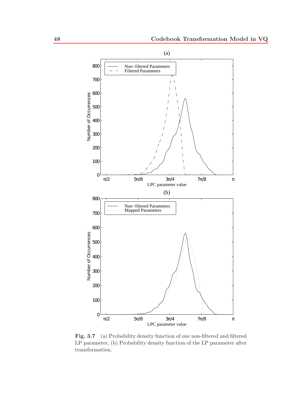

Fig. 3.7 (a) Probability density function of one non-filtered and filtered LP parameter, (b) Probability density function of the LP parameter after transformation.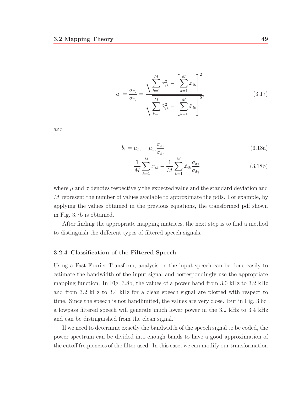$$
a_{i} = \frac{\sigma_{x_{i}}}{\sigma_{\tilde{x}_{i}}} = \frac{\sqrt{\sum_{k=1}^{M} x_{ik}^{2} - \left[\sum_{k=1}^{M} x_{ik}\right]^{2}}}{\sqrt{\sum_{k=1}^{M} \tilde{x}_{ik}^{2} - \left[\sum_{k=1}^{M} \tilde{x}_{ik}\right]^{2}}},
$$
\n(3.17)

and

$$
b_i = \mu_{x_i} - \mu_{\tilde{x}_i} \frac{\sigma_{x_i}}{\sigma_{\tilde{x}_i}}
$$
\n(3.18a)

$$
= \frac{1}{M} \sum_{k=1}^{M} x_{ik} - \frac{1}{M} \sum_{k=1}^{M} \tilde{x}_{ik} \frac{\sigma_{x_i}}{\sigma_{\tilde{x}_i}}
$$
(3.18b)

where  $\mu$  and  $\sigma$  denotes respectively the expected value and the standard deviation and M represent the number of values available to approximate the pdfs. For example, by applying the values obtained in the previous equations, the transformed pdf shown in Fig. 3.7b is obtained.

After finding the appropriate mapping matrices, the next step is to find a method to distinguish the different types of filtered speech signals.

#### **3.2.4 Classification of the Filtered Speech**

Using a Fast Fourier Transform, analysis on the input speech can be done easily to estimate the bandwidth of the input signal and correspondingly use the appropriate mapping function. In Fig. 3.8b, the values of a power band from 3.0 kHz to 3.2 kHz and from 3.2 kHz to 3.4 kHz for a clean speech signal are plotted with respect to time. Since the speech is not bandlimited, the values are very close. But in Fig. 3.8c, a lowpass filtered speech will generate much lower power in the 3.2 kHz to 3.4 kHz and can be distinguished from the clean signal.

If we need to determine exactly the bandwidth of the speech signal to be coded, the power spectrum can be divided into enough bands to have a good approximation of the cutoff frequencies of the filter used. In this case, we can modify our transformation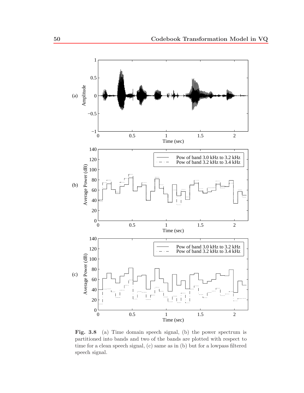

Fig. 3.8 (a) Time domain speech signal, (b) the power spectrum is partitioned into bands and two of the bands are plotted with respect to time for a clean speech signal, (c) same as in (b) but for a lowpass filtered speech signal.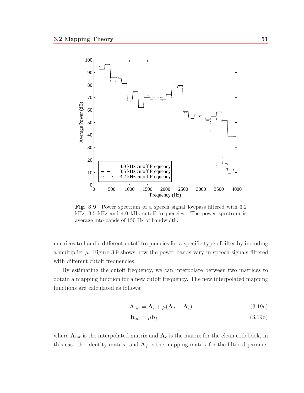

Fig. 3.9 Power spectrum of a speech signal lowpass filtered with 3.2 kHz, 3.5 kHz and 4.0 kHz cutoff frequencies. The power spectrum is average into bands of 150 Hz of bandwidth.

matrices to handle different cutoff frequencies for a specific type of filter by including a multiplier  $\mu$ . Figure 3.9 shows how the power bands vary in speech signals filtered with different cutoff frequencies.

By estimating the cutoff frequency, we can interpolate between two matrices to obtain a mapping function for a new cutoff frequency. The new interpolated mapping functions are calculated as follows:

$$
\mathbf{A}_{int} = \mathbf{A}_c + \mu(\mathbf{A}_f - \mathbf{A}_c) \tag{3.19a}
$$

$$
\mathbf{b}_{int} = \mu \mathbf{b}_f \tag{3.19b}
$$

where  $A_{int}$  is the interpolated matrix and  $A_c$  is the matrix for the clean codebook, in this case the identity matrix, and  $A_f$  is the mapping matrix for the filtered parame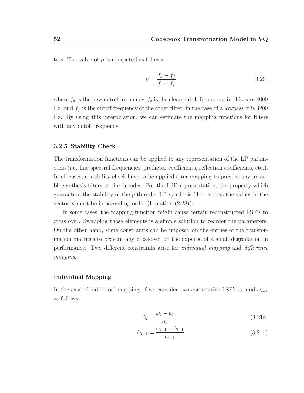ters. The value of  $\mu$  is computed as follows:

$$
\mu = \frac{f_d - f_f}{f_c - f_f} \tag{3.20}
$$

where  $f_d$  is the new cutoff frequency,  $f_c$  is the clean cutoff frequency, in this case 4000 Hz, and  $f_f$  is the cutoff frequency of the other filter, in the case of a lowpass it is 3200 Hz. By using this interpolation, we can estimate the mapping functions for filters with any cutoff frequency.

#### **3.2.5 Stability Check**

The transformation functions can be applied to any representation of the LP parameters (i.e. line spectral frequencies, predictor coefficients, reflection coefficients, etc.). In all cases, a stability check have to be applied after mapping to prevent any unstable synthesis filters at the decoder. For the LSF representation, the property which guarantees the stability of the  $p$ -th order LP synthesis filter is that the values in the vector **x** must be in ascending order (Equation (2.28)).

In some cases, the mapping function might cause certain reconstructed LSF's to cross over. Swapping those elements is a simple solution to reorder the parameters. On the other hand, some constraints can be imposed on the entries of the transformation matrices to prevent any cross-over on the expense of a small degradation in performance. Two different constraints arise for individual mapping and difference mapping.

#### **Individual Mapping**

In the case of individual mapping, if we consider two consecutive LSF's  $\omega_i$  and  $\omega_{i+1}$ as follows:

$$
\tilde{\omega}_i = \frac{\omega_i - b_i}{a_i} \tag{3.21a}
$$

$$
\tilde{\omega}_{i+1} = \frac{\omega_{i+1} - b_{i+1}}{a_{i+1}} \tag{3.21b}
$$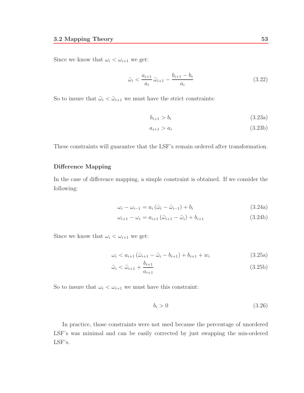Since we know that  $\omega_i < \omega_{i+1}$  we get:

$$
\tilde{\omega}_i < \frac{a_{i+1}}{a_i} \tilde{\omega}_{i+1} - \frac{b_{i+1} - b_i}{a_i} \tag{3.22}
$$

So to insure that  $\tilde{\omega}_i < \tilde{\omega}_{i+1}$  we must have the strict constraints:

$$
b_{i+1} > b_i \tag{3.23a}
$$

$$
a_{i+1} > a_i \tag{3.23b}
$$

These constraints will guarantee that the LSF's remain ordered after transformation.

#### **Difference Mapping**

In the case of difference mapping, a simple constraint is obtained. If we consider the following:

$$
\omega_i - \omega_{i-1} = a_i \left( \tilde{\omega}_i - \tilde{\omega}_{i-1} \right) + b_i \tag{3.24a}
$$

$$
\omega_{i+1} - \omega_i = a_{i+1} (\tilde{\omega}_{i+1} - \tilde{\omega}_i) + b_{i+1}
$$
\n(3.24b)

Since we know that  $\omega_i < \omega_{i+1}$  we get:

$$
\omega_i < a_{i+1} \left( \tilde{\omega}_{i+1} - \tilde{\omega}_i - b_{i+1} \right) + b_{i+1} + w_i \tag{3.25a}
$$

$$
\tilde{\omega}_i < \tilde{\omega}_{i+1} + \frac{b_{i+1}}{a_{i+1}}\tag{3.25b}
$$

So to insure that  $\omega_i < \omega_{i+1}$  we must have this constraint:

$$
b_i > 0 \tag{3.26}
$$

In practice, those constraints were not used because the percentage of unordered LSF's was minimal and can be easily corrected by just swapping the mis-ordered LSF's.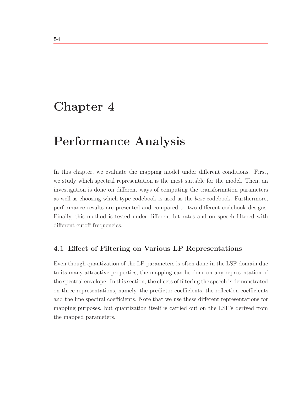# **Chapter 4**

# **Performance Analysis**

In this chapter, we evaluate the mapping model under different conditions. First, we study which spectral representation is the most suitable for the model. Then, an investigation is done on different ways of computing the transformation parameters as well as choosing which type codebook is used as the base codebook. Furthermore, performance results are presented and compared to two different codebook designs. Finally, this method is tested under different bit rates and on speech filtered with different cutoff frequencies.

## **4.1 Effect of Filtering on Various LP Representations**

Even though quantization of the LP parameters is often done in the LSF domain due to its many attractive properties, the mapping can be done on any representation of the spectral envelope. In this section, the effects of filtering the speech is demonstrated on three representations, namely, the predictor coefficients, the reflection coefficients and the line spectral coefficients. Note that we use these different representations for mapping purposes, but quantization itself is carried out on the LSF's derived from the mapped parameters.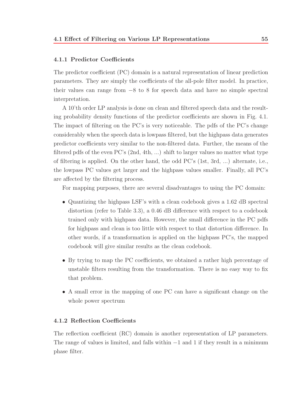#### **4.1.1 Predictor Coefficients**

The predictor coefficient (PC) domain is a natural representation of linear prediction parameters. They are simply the coefficients of the all-pole filter model. In practice, their values can range from −8 to 8 for speech data and have no simple spectral interpretation.

A 10'th order LP analysis is done on clean and filtered speech data and the resulting probability density functions of the predictor coefficients are shown in Fig. 4.1. The impact of filtering on the PC's is very noticeable. The pdfs of the PC's change considerably when the speech data is lowpass filtered, but the highpass data generates predictor coefficients very similar to the non-filtered data. Further, the means of the filtered pdfs of the even PC's (2nd, 4th, ...) shift to larger values no matter what type of filtering is applied. On the other hand, the odd PC's (1st, 3rd, ...) alternate, i.e., the lowpass PC values get larger and the highpass values smaller. Finally, all PC's are affected by the filtering process.

For mapping purposes, there are several disadvantages to using the PC domain:

- Quantizing the highpass LSF's with a clean codebook gives a 1.62 dB spectral distortion (refer to Table 3.3), a 0.46 dB difference with respect to a codebook trained only with highpass data. However, the small difference in the PC pdfs for highpass and clean is too little with respect to that distortion difference. In other words, if a transformation is applied on the highpass PC's, the mapped codebook will give similar results as the clean codebook.
- By trying to map the PC coefficients, we obtained a rather high percentage of unstable filters resulting from the transformation. There is no easy way to fix that problem.
- A small error in the mapping of one PC can have a significant change on the whole power spectrum

#### **4.1.2 Reflection Coefficients**

The reflection coefficient (RC) domain is another representation of LP parameters. The range of values is limited, and falls within  $-1$  and 1 if they result in a minimum phase filter.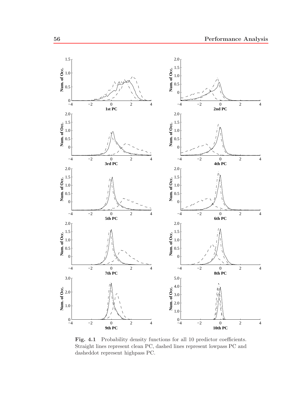

Fig. 4.1 Probability density functions for all 10 predictor coefficients. Straight lines represent clean PC, dashed lines represent lowpass PC and dasheddot represent highpass PC.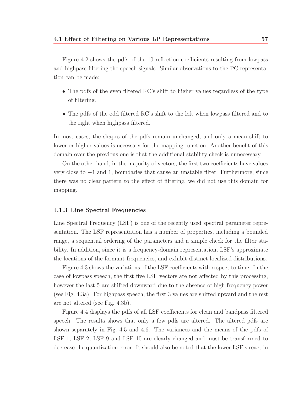Figure 4.2 shows the pdfs of the 10 reflection coefficients resulting from lowpass and highpass filtering the speech signals. Similar observations to the PC representation can be made:

- The pdfs of the even filtered RC's shift to higher values regardless of the type of filtering.
- The pdfs of the odd filtered RC's shift to the left when lowpass filtered and to the right when highpass filtered.

In most cases, the shapes of the pdfs remain unchanged, and only a mean shift to lower or higher values is necessary for the mapping function. Another benefit of this domain over the previous one is that the additional stability check is unnecessary.

On the other hand, in the majority of vectors, the first two coefficients have values very close to −1 and 1, boundaries that cause an unstable filter. Furthermore, since there was no clear pattern to the effect of filtering, we did not use this domain for mapping.

#### **4.1.3 Line Spectral Frequencies**

Line Spectral Frequency (LSF) is one of the recently used spectral parameter representation. The LSF representation has a number of properties, including a bounded range, a sequential ordering of the parameters and a simple check for the filter stability. In addition, since it is a frequency-domain representation, LSF's approximate the locations of the formant frequencies, and exhibit distinct localized distributions.

Figure 4.3 shows the variations of the LSF coefficients with respect to time. In the case of lowpass speech, the first five LSF vectors are not affected by this processing, however the last 5 are shifted downward due to the absence of high frequency power (see Fig. 4.3a). For highpass speech, the first 3 values are shifted upward and the rest are not altered (see Fig. 4.3b).

Figure 4.4 displays the pdfs of all LSF coefficients for clean and bandpass filtered speech. The results shows that only a few pdfs are altered. The altered pdfs are shown separately in Fig. 4.5 and 4.6. The variances and the means of the pdfs of LSF 1, LSF 2, LSF 9 and LSF 10 are clearly changed and must be transformed to decrease the quantization error. It should also be noted that the lower LSF's react in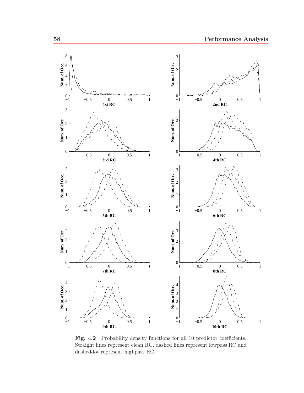

Fig. 4.2 Probability density functions for all 10 predictor coefficients. Straight lines represent clean RC, dashed lines represent lowpass RC and dasheddot represent highpass RC.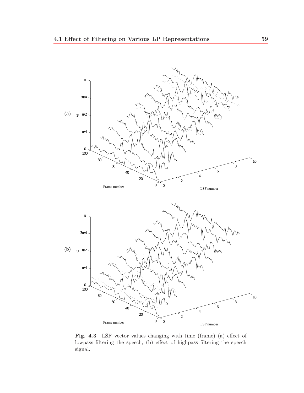

Fig. 4.3 LSF vector values changing with time (frame) (a) effect of lowpass filtering the speech, (b) effect of highpass filtering the speech signal.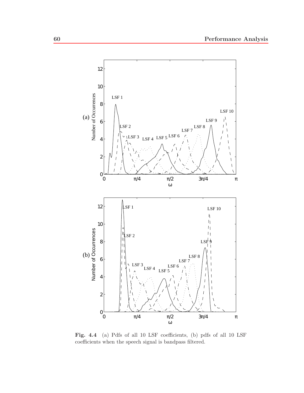

**Fig. 4.4** (a) Pdfs of all 10 LSF coefficients, (b) pdfs of all 10 LSF coefficients when the speech signal is bandpass filtered.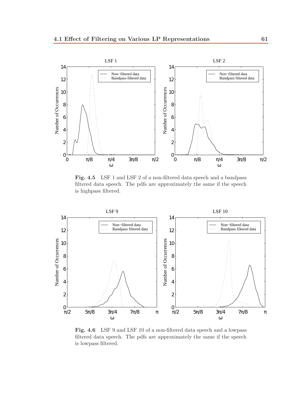

**Fig. 4.5** LSF 1 and LSF 2 of a non-filtered data speech and a bandpass filtered data speech. The pdfs are approximately the same if the speech is highpass filtered.



**Fig. 4.6** LSF 9 and LSF 10 of a non-filtered data speech and a lowpass filtered data speech. The pdfs are approximately the same if the speech is lowpass filtered.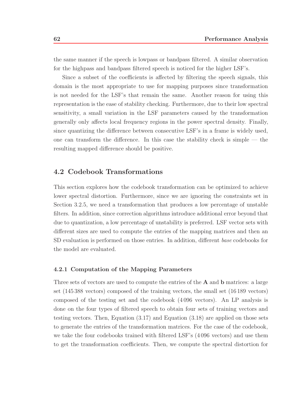the same manner if the speech is lowpass or bandpass filtered. A similar observation for the highpass and bandpass filtered speech is noticed for the higher LSF's.

Since a subset of the coefficients is affected by filtering the speech signals, this domain is the most appropriate to use for mapping purposes since transformation is not needed for the LSF's that remain the same. Another reason for using this representation is the ease of stability checking. Furthermore, due to their low spectral sensitivity, a small variation in the LSF parameters caused by the transformation generally only affects local frequency regions in the power spectral density. Finally, since quantizing the difference between consecutive LSF's in a frame is widely used, one can transform the difference. In this case the stability check is simple — the resulting mapped difference should be positive.

#### **4.2 Codebook Transformations**

This section explores how the codebook transformation can be optimized to achieve lower spectral distortion. Furthermore, since we are ignoring the constraints set in Section 3.2.5, we need a transformation that produces a low percentage of unstable filters. In addition, since correction algorithms introduce additional error beyond that due to quantization, a low percentage of unstability is preferred. LSF vector sets with different sizes are used to compute the entries of the mapping matrices and then an SD evaluation is performed on those entries. In addition, different *base* codebooks for the model are evaluated.

#### **4.2.1 Computation of the Mapping Parameters**

Three sets of vectors are used to compute the entries of the **A** and **b** matrices: a large set (145 388 vectors) composed of the training vectors, the small set (16 189 vectors) composed of the testing set and the codebook (4 096 vectors). An LP analysis is done on the four types of filtered speech to obtain four sets of training vectors and testing vectors. Then, Equation (3.17) and Equation (3.18) are applied on those sets to generate the entries of the transformation matrices. For the case of the codebook, we take the four codebooks trained with filtered LSF's (4 096 vectors) and use them to get the transformation coefficients. Then, we compute the spectral distortion for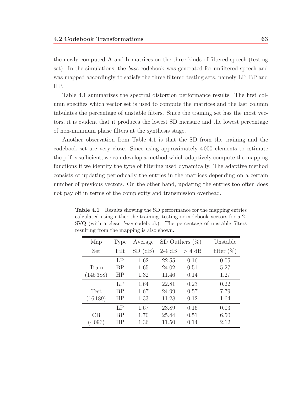the newly computed **A** and **b** matrices on the three kinds of filtered speech (testing set). In the simulations, the base codebook was generated for unfiltered speech and was mapped accordingly to satisfy the three filtered testing sets, namely LP, BP and HP.

Table 4.1 summarizes the spectral distortion performance results. The first column specifies which vector set is used to compute the matrices and the last column tabulates the percentage of unstable filters. Since the training set has the most vectors, it is evident that it produces the lowest SD measure and the lowest percentage of non-minimum phase filters at the synthesis stage.

Another observation from Table 4.1 is that the SD from the training and the codebook set are very close. Since using approximately 4 000 elements to estimate the pdf is sufficient, we can develop a method which adaptively compute the mapping functions if we identify the type of filtering used dynamically. The adaptive method consists of updating periodically the entries in the matrices depending on a certain number of previous vectors. On the other hand, updating the entries too often does not pay off in terms of the complexity and transmission overhead.

| Map         | Type      | Average    |          | SD Outliers $(\%)$ | Unstable      |
|-------------|-----------|------------|----------|--------------------|---------------|
| Set         | Filt      | (dB)<br>SD | $2-4$ dB | $> 4$ dB           | filter $(\%)$ |
|             | LP        | 1.62       | 22.55    | 0.16               | 0.05          |
| Train       | BP        | 1.65       | 24.02    | 0.51               | 5.27          |
| (145388)    | HP        | 1.32       | 11.46    | 0.14               | 1.27          |
|             | LP        | 1.64       | 22.81    | 0.23               | 0.22          |
| <b>Test</b> | <b>BP</b> | 1.67       | 24.99    | 0.57               | 7.79          |
| (16189)     | HP        | 1.33       | 11.28    | 0.12               | 1.64          |
|             | LP        | 1.67       | 23.89    | 0.16               | 0.03          |
| СB          | BP        | 1.70       | 25.44    | 0.51               | 6.50          |
| (4096)      | НP        | 1.36       | 11.50    | 0.14               | 2.12          |

**Table 4.1** Results showing the SD performance for the mapping entries calculated using either the training, testing or codebook vectors for a 2- SVQ (with a clean *base* codebook). The percentage of unstable filters resulting from the mapping is also shown.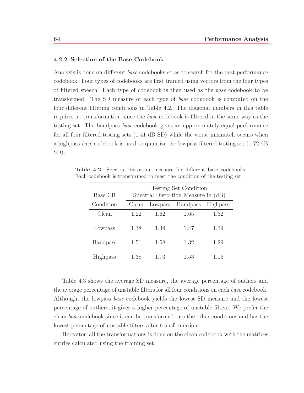#### **4.2.2 Selection of the Base Codebook**

Analysis is done on different base codebooks so as to search for the best performance codebook. Four types of codebooks are first trained using vectors from the four types of filtered speech. Each type of codebook is then used as the base codebook to be transformed. The SD measure of each type of base codebook is computed on the four different filtering conditions in Table 4.2. The diagonal numbers in this table requires no transformation since the base codebook is filtered in the same way as the testing set. The bandpass base codebook gives an approximately equal performance for all four filtered testing sets (1.41 dB SD) while the worst mismatch occurs when a highpass base codebook is used to quantize the lowpass filtered testing set (1.72 dB SD).

| Base CB         |       | Testing Set Condition<br>Spectral Distortion Measure in (dB) |                 |                 |  |  |  |
|-----------------|-------|--------------------------------------------------------------|-----------------|-----------------|--|--|--|
| Condition       | Clean | Lowpass                                                      | <b>Bandpass</b> | <b>Highpass</b> |  |  |  |
| Clean           | 1.22  | 1.62                                                         | 1.65            | 1.32            |  |  |  |
| Lowpass         | 1.38  | 1.39                                                         | 1.47            | 1.39            |  |  |  |
| <b>Bandpass</b> | 1.51  | 1.58                                                         | 1.32            | 1.29            |  |  |  |
| Highpass        | 1.38  | 1.73                                                         | 1.53            | 1.16            |  |  |  |

**Table 4.2** Spectral distortion measure for different base codebooks. Each codebook is transformed to meet the condition of the testing set.

Table 4.3 shows the average SD measure, the average percentage of outliers and the average percentage of unstable filters for all four conditions on each base codebook. Although, the lowpass base codebook yields the lowest SD measure and the lowest percentage of outliers, it gives a higher percentage of unstable filters. We prefer the clean base codebook since it can be transformed into the other conditions and has the lowest percentage of unstable filters after transformation.

Hereafter, all the transformations is done on the clean codebook with the matrices entries calculated using the training set.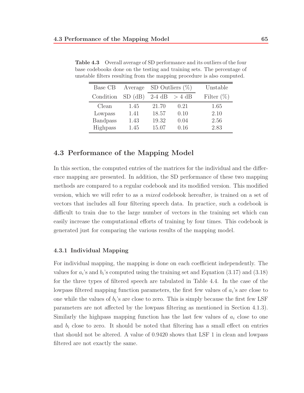| Base CB         | Average |          | SD Outliers $(\%)$ | Unstable      |
|-----------------|---------|----------|--------------------|---------------|
| Condition       | SD(dB)  | $2-4$ dB | $> 4$ dB           | Filter $(\%)$ |
| Clean           | 1.45    | 21.70    | 0.21               | 1.65          |
| Lowpass         | 1.41    | 18.57    | 0.10               | 2.10          |
| <b>Bandpass</b> | 1.43    | 19.32    | 0.04               | 2.56          |
| Highpass        | 1.45    | 15.07    | 0.16               | 2.83          |

**Table 4.3** Overall average of SD performance and its outliers of the four base codebooks done on the testing and training sets. The percentage of unstable filters resulting from the mapping procedure is also computed.

## **4.3 Performance of the Mapping Model**

In this section, the computed entries of the matrices for the individual and the difference mapping are presented. In addition, the SD performance of these two mapping methods are compared to a regular codebook and its modified version. This modified version, which we will refer to as a mixed codebook hereafter, is trained on a set of vectors that includes all four filtering speech data. In practice, such a codebook is difficult to train due to the large number of vectors in the training set which can easily increase the computational efforts of training by four times. This codebook is generated just for comparing the various results of the mapping model.

### **4.3.1 Individual Mapping**

For individual mapping, the mapping is done on each coefficient independently. The values for  $a_i$ 's and  $b_i$ 's computed using the training set and Equation (3.17) and (3.18) for the three types of filtered speech are tabulated in Table 4.4. In the case of the lowpass filtered mapping function parameters, the first few values of  $a_i$ 's are close to one while the values of  $b_i$ 's are close to zero. This is simply because the first few LSF parameters are not affected by the lowpass filtering as mentioned in Section 4.1.3). Similarly the highpass mapping function has the last few values of  $a_i$  close to one and  $b_i$  close to zero. It should be noted that filtering has a small effect on entries that should not be altered. A value of 0.9420 shows that LSF 1 in clean and lowpass filtered are not exactly the same.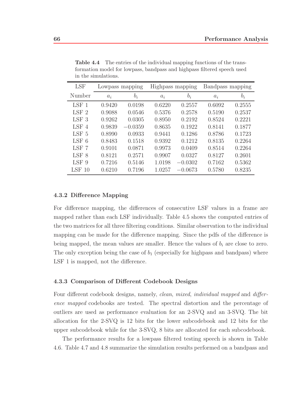| <b>LSF</b>            | Lowpass mapping |           |        | Highpass mapping | Bandpass mapping |        |
|-----------------------|-----------------|-----------|--------|------------------|------------------|--------|
| Number                | $a_i$           | $b_i$     | $a_i$  | $b_i$            | $a_i$            | $b_i$  |
| $LSF$ 1               | 0.9420          | 0.0198    | 0.6220 | 0.2557           | 0.6092           | 0.2555 |
| LSF <sub>2</sub>      | 0.9088          | 0.0546    | 0.5376 | 0.2578           | 0.5190           | 0.2537 |
| LSF <sub>3</sub>      | 0.9262          | 0.0305    | 0.8950 | 0.2192           | 0.8524           | 0.2221 |
| LSF<br>$\overline{4}$ | 0.9839          | $-0.0359$ | 0.8635 | 0.1922           | 0.8141           | 0.1877 |
| LSF <sub>5</sub>      | 0.8990          | 0.0933    | 0.9441 | 0.1286           | 0.8786           | 0.1723 |
| LSF 6                 | 0.8483          | 0.1518    | 0.9392 | 0.1212           | 0.8135           | 0.2264 |
| LSF 7                 | 0.9101          | 0.0871    | 0.9973 | 0.0409           | 0.8514           | 0.2264 |
| LSF 8                 | 0.8121          | 0.2571    | 0.9907 | 0.0327           | 0.8127           | 0.2601 |
| LSF <sub>9</sub>      | 0.7216          | 0.5146    | 1.0198 | $-0.0302$        | 0.7162           | 0.5362 |
| $LSF$ 10              | 0.6210          | 0.7196    | 1.0257 | $-0.0673$        | 0.5780           | 0.8235 |

**Table 4.4** The entries of the individual mapping functions of the transformation model for lowpass, bandpass and highpass filtered speech used in the simulations.

#### **4.3.2 Difference Mapping**

For difference mapping, the differences of consecutive LSF values in a frame are mapped rather than each LSF individually. Table 4.5 shows the computed entries of the two matrices for all three filtering conditions. Similar observation to the individual mapping can be made for the difference mapping. Since the pdfs of the difference is being mapped, the mean values are smaller. Hence the values of  $b_i$  are close to zero. The only exception being the case of  $b_1$  (especially for highpass and bandpass) where LSF 1 is mapped, not the difference.

#### **4.3.3 Comparison of Different Codebook Designs**

Four different codebook designs, namely, *clean, mixed, individual mapped* and *differ*ence mapped codebooks are tested. The spectral distortion and the percentage of outliers are used as performance evaluation for an 2-SVQ and an 3-SVQ. The bit allocation for the 2-SVQ is 12 bits for the lower subcodebook and 12 bits for the upper subcodebook while for the 3-SVQ, 8 bits are allocated for each subcodebook.

The performance results for a lowpass filtered testing speech is shown in Table 4.6. Table 4.7 and 4.8 summarize the simulation results performed on a bandpass and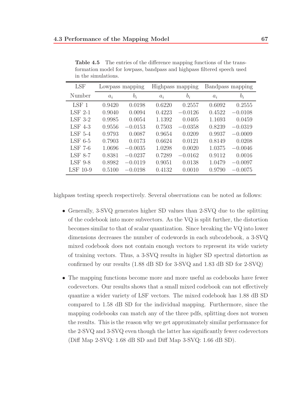| <b>LSF</b>     |        | Lowpass mapping |        | Highpass mapping |        | Bandpass mapping |
|----------------|--------|-----------------|--------|------------------|--------|------------------|
| Number         | $a_i$  | $b_i$           | $a_i$  | $b_i$            | $a_i$  | $b_i$            |
| $LSF$ 1        | 0.9420 | 0.0198          | 0.6220 | 0.2557           | 0.6092 | 0.2555           |
| $LSF$ 2-1      | 0.9040 | 0.0094          | 0.4223 | $-0.0126$        | 0.4522 | $-0.0108$        |
| $LSF$ 3-2      | 0.9985 | 0.0054          | 1.1392 | 0.0405           | 1.1693 | 0.0459           |
| $LSF$ 4-3      | 0.9556 | $-0.0153$       | 0.7503 | $-0.0358$        | 0.8239 | $-0.0319$        |
| $LSF$ 5-4      | 0.9793 | 0.0087          | 0.9654 | 0.0209           | 0.9937 | $-0.0009$        |
| LSF $6-5$      | 0.7903 | 0.0173          | 0.6624 | 0.0121           | 0.8149 | 0.0208           |
| $LSF$ 7-6      | 1.0696 | $-0.0035$       | 1.0298 | 0.0020           | 1.0375 | $-0.0046$        |
| <b>LSF 8-7</b> | 0.8381 | $-0.0237$       | 0.7289 | $-0.0162$        | 0.9112 | 0.0016           |
| $LSF$ 9-8      | 0.8982 | $-0.0119$       | 0.9051 | 0.0138           | 1.0479 | $-0.0097$        |
| LSF 10-9       | 0.5100 | $-0.0198$       | 0.4132 | 0.0010           | 0.9790 | $-0.0075$        |

**Table 4.5** The entries of the difference mapping functions of the transformation model for lowpass, bandpass and highpass filtered speech used in the simulations.

highpass testing speech respectively. Several observations can be noted as follows:

- Generally, 3-SVQ generates higher SD values than 2-SVQ due to the splitting of the codebook into more subvectors. As the VQ is split further, the distortion becomes similar to that of scalar quantization. Since breaking the VQ into lower dimensions decreases the number of codewords in each subcodebook, a 3-SVQ mixed codebook does not contain enough vectors to represent its wide variety of training vectors. Thus, a 3-SVQ results in higher SD spectral distortion as confirmed by our results (1.88 dB SD for 3-SVQ and 1.83 dB SD for 2-SVQ)
- The mapping functions become more and more useful as codebooks have fewer codevectors. Our results shows that a small mixed codebook can not effectively quantize a wider variety of LSF vectors. The mixed codebook has 1.88 dB SD compared to 1.58 dB SD for the individual mapping. Furthermore, since the mapping codebooks can match any of the three pdfs, splitting does not worsen the results. This is the reason why we get approximately similar performance for the 2-SVQ and 3-SVQ even though the latter has significantly fewer codevectors (Diff Map 2-SVQ: 1.68 dB SD and Diff Map 3-SVQ: 1.66 dB SD).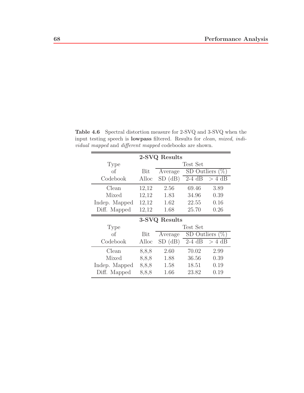|               |       | 2-SVQ Results |          |                    |
|---------------|-------|---------------|----------|--------------------|
| Type          |       |               | Test Set |                    |
| of            | Bit   | Average       |          | SD Outliers $(\%)$ |
| Codebook      | Alloc | SD(dB)        | $2-4$ dB | $> 4$ dB           |
| Clean         | 12,12 | 2.56          | 69.46    | 3.89               |
| Mixed         | 12,12 | 1.83          | 34.96    | 0.39               |
| Indep. Mapped | 12,12 | 1.62          | 22.55    | 0.16               |
| Diff. Mapped  | 12,12 | 1.68          | 25.70    | 0.26               |
|               |       |               |          |                    |
|               |       | 3-SVQ Results |          |                    |
| Type          |       |               | Test Set |                    |
| of            | Bit   | Average       |          | SD Outliers $(\%)$ |
| Codebook      | Alloc | SD(dB)        | $2-4$ dB | $> 4$ dB           |
| Clean         | 8,8,8 | 2.60          | 70.02    | 2.99               |
| Mixed         | 8,8,8 | 1.88          | 36.56    | 0.39               |
| Indep. Mapped | 8,8,8 | 1.58          | 18.51    | 0.19               |

**Table 4.6** Spectral distortion measure for 2-SVQ and 3-SVQ when the input testing speech is **lowpass** filtered. Results for *clean*, *mixed*, *individual mapped* and *different mapped* codebooks are shown.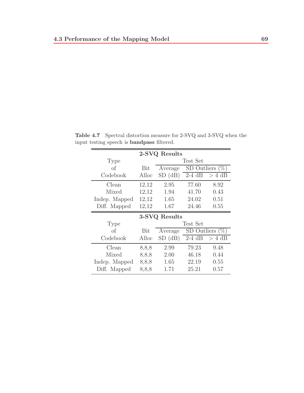|               |       | 2-SVQ Results |             |                    |
|---------------|-------|---------------|-------------|--------------------|
| <b>Type</b>   |       |               | Test Set    |                    |
| of            | Bit   | Average       | SD Outliers | $(\%^{2})$         |
| Codebook      | Alloc | SD(dB)        | $2-4$ dB    | $> 4$ dB           |
| Clean         | 12,12 | 2.95          | 77.60       | 8.92               |
| Mixed         | 12,12 | 1.94          | 41.70       | 0.43               |
| Indep. Mapped | 12,12 | 1.65          | 24.02       | 0.51               |
| Diff. Mapped  | 12,12 | 1.67          | 24.46       | 0.55               |
|               |       |               |             |                    |
|               |       | 3-SVQ Results |             |                    |
| <b>Type</b>   |       |               | Test Set    |                    |
| of            | Bit   | Average       |             | SD Outliers $(\%)$ |
| Codebook      | Alloc | SD(dB)        | $2-4$ dB    | $> 4$ dB           |
| Clean         | 8,8,8 | 2.99          | 79.23       | 9.48               |
| Mixed         | 8,8,8 | 2.00          | 46.18       | 0.44               |
| Indep. Mapped | 8,8,8 | 1.65          | 22.19       | 0.55               |

**Table 4.7** Spectral distortion measure for 2-SVQ and 3-SVQ when the input testing speech is **bandpass** filtered.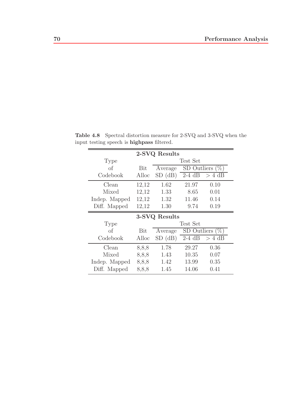|               |            | 2-SVQ Results |          |                    |
|---------------|------------|---------------|----------|--------------------|
| Type          |            |               | Test Set |                    |
| $\sigma$      | <b>Bit</b> | Average       |          | SD Outliers $(\%)$ |
| Codebook      | Alloc      | SD(dB)        | $2-4$ dB | $> 4$ dB           |
| Clean         | 12,12      | 1.62          | 21.97    | 0.10               |
| Mixed         | 12,12      | 1.33          | 8.65     | 0.01               |
| Indep. Mapped | 12,12      | 1.32          | 11.46    | 0.14               |
| Diff. Mapped  | 12,12      | 1.30          | 9.74     | 0.19               |
|               |            |               |          |                    |
|               |            | 3-SVQ Results |          |                    |
| Type          |            |               | Test Set |                    |
| of            | Bit        | Average       |          | SD Outliers $(\%)$ |
| Codebook      | Alloc      | SD(dB)        | $2-4$ dB | $> 4$ dB           |
| Clean         | 8,8,8      | 1.78          | 29.27    | 0.36               |
| Mixed         | 8,8,8      | 1.43          | 10.35    | 0.07               |
| Indep. Mapped | 8,8,8      | 1.42          | 13.99    | 0.35               |

**Table 4.8** Spectral distortion measure for 2-SVQ and 3-SVQ when the input testing speech is **highpass** filtered.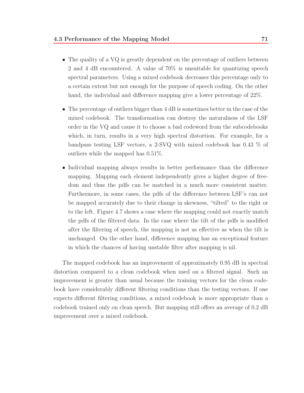- The quality of a VQ is greatly dependent on the percentage of outliers between 2 and 4 dB encountered. A value of 70% is unsuitable for quantizing speech spectral parameters. Using a mixed codebook decreases this percentage only to a certain extent but not enough for the purpose of speech coding. On the other hand, the individual and difference mapping give a lower percentage of 22%.
- The percentage of outliers bigger than 4 dB is sometimes better in the case of the mixed codebook. The transformation can destroy the naturalness of the LSF order in the VQ and cause it to choose a bad codeword from the subcodebooks which, in turn, results in a very high spectral distortion. For example, for a bandpass testing LSF vectors, a 2-SVQ with mixed codebook has 0.43 % of outliers while the mapped has 0.51%.
- Individual mapping always results in better performance than the difference mapping. Mapping each element independently gives a higher degree of freedom and thus the pdfs can be matched in a much more consistent matter. Furthermore, in some cases, the pdfs of the difference between LSF's can not be mapped accurately due to their change in skewness, "tilted" to the right or to the left. Figure 4.7 shows a case where the mapping could not exactly match the pdfs of the filtered data. In the case where the tilt of the pdfs is modified after the filtering of speech, the mapping is not as effective as when the tilt is unchanged. On the other hand, difference mapping has an exceptional feature in which the chances of having unstable filter after mapping is nil.

The mapped codebook has an improvement of approximately 0.95 dB in spectral distortion compared to a clean codebook when used on a filtered signal. Such an improvement is greater than usual because the training vectors for the clean codebook have considerably different filtering conditions than the testing vectors. If one expects different filtering conditions, a mixed codebook is more appropriate than a codebook trained only on clean speech. But mapping still offers an average of 0.2 dB improvement over a mixed codebook.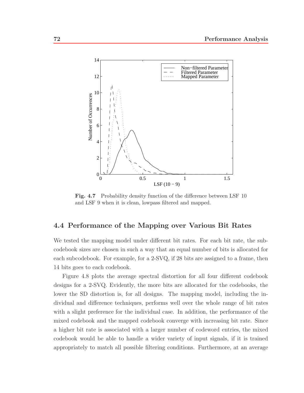

Fig. 4.7 Probability density function of the difference between LSF 10 and LSF 9 when it is clean, lowpass filtered and mapped.

### **4.4 Performance of the Mapping over Various Bit Rates**

We tested the mapping model under different bit rates. For each bit rate, the subcodebook sizes are chosen in such a way that an equal number of bits is allocated for each subcodebook. For example, for a 2-SVQ, if 28 bits are assigned to a frame, then 14 bits goes to each codebook.

Figure 4.8 plots the average spectral distortion for all four different codebook designs for a 2-SVQ. Evidently, the more bits are allocated for the codebooks, the lower the SD distortion is, for all designs. The mapping model, including the individual and difference techniques, performs well over the whole range of bit rates with a slight preference for the individual case. In addition, the performance of the mixed codebook and the mapped codebook converge with increasing bit rate. Since a higher bit rate is associated with a larger number of codeword entries, the mixed codebook would be able to handle a wider variety of input signals, if it is trained appropriately to match all possible filtering conditions. Furthermore, at an average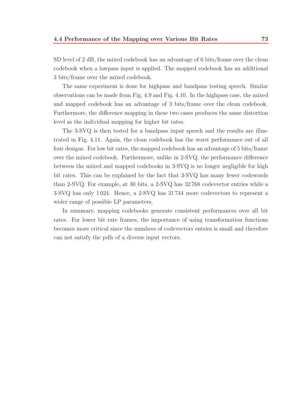SD level of 2 dB, the mixed codebook has an advantage of 6 bits/frame over the clean codebook when a lowpass input is applied. The mapped codebook has an additional 3 bits/frame over the mixed codebook.

The same experiment is done for highpass and bandpass testing speech. Similar observations can be made from Fig. 4.9 and Fig. 4.10. In the highpass case, the mixed and mapped codebook has an advantage of 3 bits/frame over the clean codebook. Furthermore, the difference mapping in these two cases produces the same distortion level as the individual mapping for higher bit rates.

The 3-SVQ is then tested for a bandpass input speech and the results are illustrated in Fig. 4.11. Again, the clean codebook has the worst performance out of all four designs. For low bit rates, the mapped codebook has an advantage of 5 bits/frame over the mixed codebook. Furthermore, unlike in 2-SVQ, the performance difference between the mixed and mapped codebooks in 3-SVQ is no longer negligible for high bit rates. This can be explained by the fact that 3-SVQ has many fewer codewords than 2-SVQ. For example, at 30 bits, a 2-SVQ has 32 768 codevector entries while a 3-SVQ has only 1 024. Hence, a 2-SVQ has 31 744 more codevectors to represent a wider range of possible LP parameters.

In summary, mapping codebooks generate consistent performances over all bit rates. For lower bit rate frames, the importance of using transformation functions becomes more critical since the numbers of codevectors entries is small and therefore can not satisfy the pdfs of a diverse input vectors.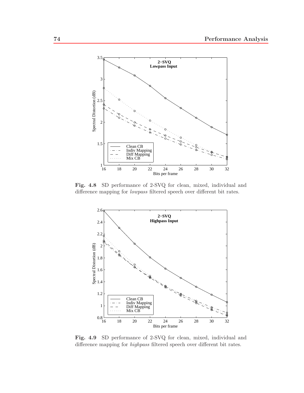

**Fig. 4.8** SD performance of 2-SVQ for clean, mixed, individual and difference mapping for *lowpass* filtered speech over different bit rates.



**Fig. 4.9** SD performance of 2-SVQ for clean, mixed, individual and difference mapping for *highpass* filtered speech over different bit rates.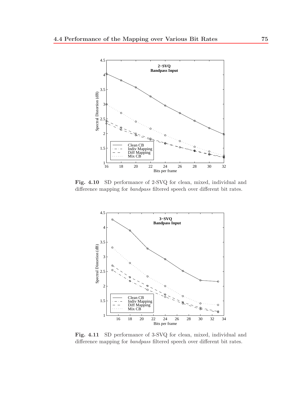

**Fig. 4.10** SD performance of 2-SVQ for clean, mixed, individual and difference mapping for *bandpass* filtered speech over different bit rates.



**Fig. 4.11** SD performance of 3-SVQ for clean, mixed, individual and difference mapping for *bandpass* filtered speech over different bit rates.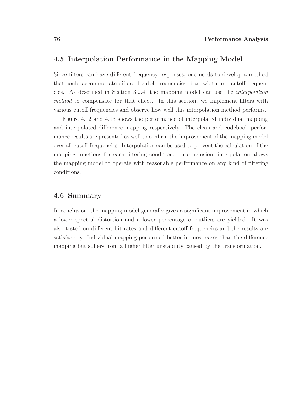### **4.5 Interpolation Performance in the Mapping Model**

Since filters can have different frequency responses, one needs to develop a method that could accommodate different cutoff frequencies. bandwidth and cutoff frequencies. As described in Section 3.2.4, the mapping model can use the interpolation method to compensate for that effect. In this section, we implement filters with various cutoff frequencies and observe how well this interpolation method performs.

Figure 4.12 and 4.13 shows the performance of interpolated individual mapping and interpolated difference mapping respectively. The clean and codebook performance results are presented as well to confirm the improvement of the mapping model over all cutoff frequencies. Interpolation can be used to prevent the calculation of the mapping functions for each filtering condition. In conclusion, interpolation allows the mapping model to operate with reasonable performance on any kind of filtering conditions.

#### **4.6 Summary**

In conclusion, the mapping model generally gives a significant improvement in which a lower spectral distortion and a lower percentage of outliers are yielded. It was also tested on different bit rates and different cutoff frequencies and the results are satisfactory. Individual mapping performed better in most cases than the difference mapping but suffers from a higher filter unstability caused by the transformation.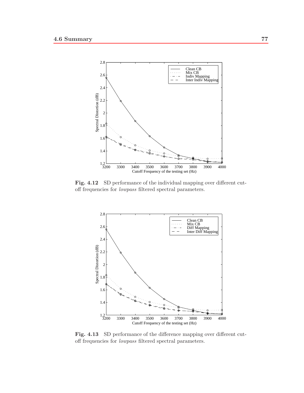

**Fig. 4.12** SD performance of the individual mapping over different cutoff frequencies for *lowpass* filtered spectral parameters.



**Fig. 4.13** SD performance of the difference mapping over different cutoff frequencies for *lowpass* filtered spectral parameters.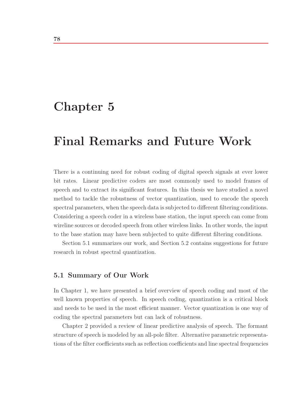## **Chapter 5**

# **Final Remarks and Future Work**

There is a continuing need for robust coding of digital speech signals at ever lower bit rates. Linear predictive coders are most commonly used to model frames of speech and to extract its significant features. In this thesis we have studied a novel method to tackle the robustness of vector quantization, used to encode the speech spectral parameters, when the speech data is subjected to different filtering conditions. Considering a speech coder in a wireless base station, the input speech can come from wireline sources or decoded speech from other wireless links. In other words, the input to the base station may have been subjected to quite different filtering conditions.

Section 5.1 summarizes our work, and Section 5.2 contains suggestions for future research in robust spectral quantization.

#### **5.1 Summary of Our Work**

In Chapter 1, we have presented a brief overview of speech coding and most of the well known properties of speech. In speech coding, quantization is a critical block and needs to be used in the most efficient manner. Vector quantization is one way of coding the spectral parameters but can lack of robustness.

Chapter 2 provided a review of linear predictive analysis of speech. The formant structure of speech is modeled by an all-pole filter. Alternative parametric representations of the filter coefficients such as reflection coefficients and line spectral frequencies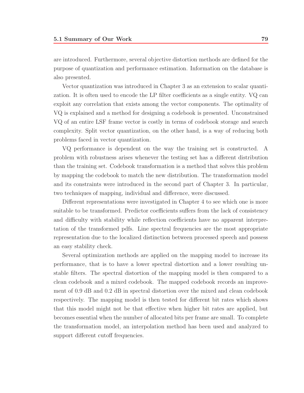are introduced. Furthermore, several objective distortion methods are defined for the purpose of quantization and performance estimation. Information on the database is also presented.

Vector quantization was introduced in Chapter 3 as an extension to scalar quantization. It is often used to encode the LP filter coefficients as a single entity. VQ can exploit any correlation that exists among the vector components. The optimality of VQ is explained and a method for designing a codebook is presented. Unconstrained VQ of an entire LSF frame vector is costly in terms of codebook storage and search complexity. Split vector quantization, on the other hand, is a way of reducing both problems faced in vector quantization.

VQ performance is dependent on the way the training set is constructed. A problem with robustness arises whenever the testing set has a different distribution than the training set. Codebook transformation is a method that solves this problem by mapping the codebook to match the new distribution. The transformation model and its constraints were introduced in the second part of Chapter 3. In particular, two techniques of mapping, individual and difference, were discussed.

Different representations were investigated in Chapter 4 to see which one is more suitable to be transformed. Predictor coefficients suffers from the lack of consistency and difficulty with stability while reflection coefficients have no apparent interpretation of the transformed pdfs. Line spectral frequencies are the most appropriate representation due to the localized distinction between processed speech and possess an easy stability check.

Several optimization methods are applied on the mapping model to increase its performance, that is to have a lower spectral distortion and a lower resulting unstable filters. The spectral distortion of the mapping model is then compared to a clean codebook and a mixed codebook. The mapped codebook records an improvement of 0.9 dB and 0.2 dB in spectral distortion over the mixed and clean codebook respectively. The mapping model is then tested for different bit rates which shows that this model might not be that effective when higher bit rates are applied, but becomes essential when the number of allocated bits per frame are small. To complete the transformation model, an interpolation method has been used and analyzed to support different cutoff frequencies.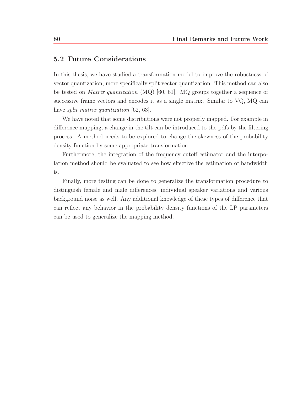### **5.2 Future Considerations**

In this thesis, we have studied a transformation model to improve the robustness of vector quantization, more specifically split vector quantization. This method can also be tested on Matrix quantization (MQ) [60, 61]. MQ groups together a sequence of successive frame vectors and encodes it as a single matrix. Similar to VQ, MQ can have *split matrix quantization* [62, 63].

We have noted that some distributions were not properly mapped. For example in difference mapping, a change in the tilt can be introduced to the pdfs by the filtering process. A method needs to be explored to change the skewness of the probability density function by some appropriate transformation.

Furthermore, the integration of the frequency cutoff estimator and the interpolation method should be evaluated to see how effective the estimation of bandwidth is.

Finally, more testing can be done to generalize the transformation procedure to distinguish female and male differences, individual speaker variations and various background noise as well. Any additional knowledge of these types of difference that can reflect any behavior in the probability density functions of the LP parameters can be used to generalize the mapping method.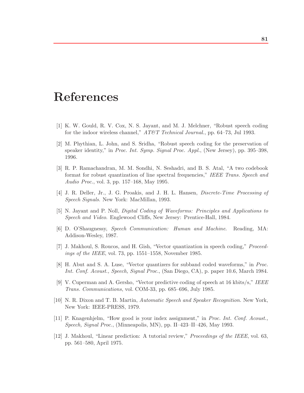## **References**

- [1] K. W. Gould, R. V. Cox, N. S. Jayant, and M. J. Melchner, "Robust speech coding for the indoor wireless channel," *AT&T Technical Journal.*, pp. 64–73, Jul 1993.
- [2] M. Phythian, L. John, and S. Sridha, "Robust speech coding for the preservation of speaker identity," in *Proc. Int. Symp. Signal Proc. Appl.*, (New Jersey), pp. 395–398, 1996.
- [3] R. P. Ramachandran, M. M. Sondhi, N. Seshadri, and B. S. Atal, "A two codebook format for robust quantization of line spectral frequencies," *IEEE Trans. Speech and Audio Proc.*, vol. 3, pp. 157–168, May 1995.
- [4] J. R. Deller, Jr., J. G. Proakis, and J. H. L. Hansen, *Discrete-Time Processing of Speech Signals*. New York: MacMillan, 1993.
- [5] N. Jayant and P. Noll, *Digital Coding of Waveforms: Principles and Applications to Speech and Video*. Englewood Cliffs, New Jersey: Prentice-Hall, 1984.
- [6] D. O'Shaugnessy, *Speech Communication: Human and Machine*. Reading, MA: Addison-Wesley, 1987.
- [7] J. Makhoul, S. Roucos, and H. Gish, "Vector quantization in speech coding," *Proceedings of the IEEE*, vol. 73, pp. 1551–1558, November 1985.
- [8] H. Abut and S. A. Luse, "Vector quantizers for subband coded waveforms," in *Proc. Int. Conf. Acoust., Speech, Signal Proc.*, (San Diego, CA), p. paper 10.6, March 1984.
- [9] V. Cuperman and A. Gersho, "Vector predictive coding of speech at 16 kbits/s," *IEEE Trans. Communications*, vol. COM-33, pp. 685–696, July 1985.
- [10] N. R. Dixon and T. B. Martin, *Automatic Speech and Speaker Recognition*. New York, New York: IEEE-PRESS, 1979.
- [11] P. Knagenhjelm, "How good is your index assignment," in *Proc. Int. Conf. Acoust., Speech, Signal Proc.*, (Minneapolis, MN), pp. II–423–II–426, May 1993.
- [12] J. Makhoul, "Linear prediction: A tutorial review," *Proceedings of the IEEE*, vol. 63, pp. 561–580, April 1975.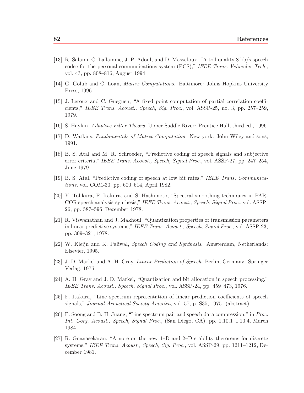- [13] R. Salami, C. Laflamme, J. P. Adoul, and D. Massaloux, "A toll quality 8 kb/s speech codec for the personal communications system (PCS)," *IEEE Trans. Vehicular Tech.*, vol. 43, pp. 808–816, August 1994.
- [14] G. Golub and C. Loan, *Matrix Computations*. Baltimore: Johns Hopkins University Press, 1996.
- [15] J. Leroux and C. Gueguen, "A fixed point computation of partial correlation coefficients," *IEEE Trans. Acoust., Speech, Sig. Proc.*, vol. ASSP-25, no. 3, pp. 257–259, 1979.
- [16] S. Haykin, *Adaptive Filter Theory*. Upper Saddle River: Prentice Hall, third ed., 1996.
- [17] D. Watkins, *Fundamentals of Matrix Computation*. New york: John Wiley and sons, 1991.
- [18] B. S. Atal and M. R. Schroeder, "Predictive coding of speech signals and subjective error criteria," *IEEE Trans. Acoust., Speech, Signal Proc.*, vol. ASSP-27, pp. 247–254, June 1979.
- [19] B. S. Atal, "Predictive coding of speech at low bit rates," *IEEE Trans. Communications*, vol. COM-30, pp. 600–614, April 1982.
- [20] Y. Tohkura, F. Itakura, and S. Hashimoto, "Spectral smoothing techniques in PAR-COR speech analysis-synthesis," *IEEE Trans. Acoust., Speech, Signal Proc.*, vol. ASSP-26, pp. 587–596, December 1978.
- [21] R. Viswanathan and J. Makhoul, "Quantization properties of transmission parameters in linear predictive systems," *IEEE Trans. Acoust., Speech, Signal Proc.*, vol. ASSP-23, pp. 309–321, 1978.
- [22] W. Kleijn and K. Paliwal, *Speech Coding and Synthesis*. Amsterdam, Netherlands: Elsevier, 1995.
- [23] J. D. Markel and A. H. Gray, *Linear Prediction of Speech*. Berlin, Germany: Springer Verlag, 1976.
- [24] A. H. Gray and J. D. Markel, "Quantization and bit allocation in speech processing," *IEEE Trans. Acoust., Speech, Signal Proc.*, vol. ASSP-24, pp. 459–473, 1976.
- [25] F. Itakura, "Line spectrum representation of linear prediction coefficients of speech signals," *Journal Acoustical Society America*, vol. 57, p. S35, 1975. (abstract).
- [26] F. Soong and B.-H. Juang, "Line spectrum pair and speech data compression," in *Proc. Int. Conf. Acoust., Speech, Signal Proc.*, (San Diego, CA), pp. 1.10.1–1.10.4, March 1984.
- [27] R. Gnanasekaran, "A note on the new 1–D and 2–D stability therorems for discrete systems," *IEEE Trans. Acoust., Speech, Sig. Proc.*, vol. ASSP-29, pp. 1211–1212, December 1981.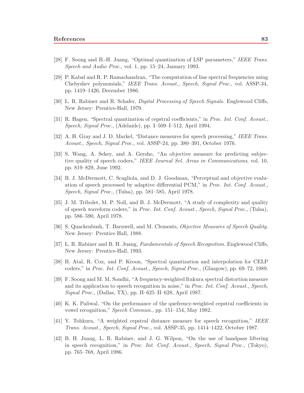- [28] F. Soong and B.-H. Juang, "Optimal quantization of LSP parameters," *IEEE Trans. Speech and Audio Proc.*, vol. 1, pp. 15–24, January 1993.
- [29] P. Kabal and R. P. Ramachandran, "The computation of line spectral frequencies using Chebyshev polynomials," *IEEE Trans. Acoust., Speech, Signal Proc.*, vol. ASSP-34, pp. 1419–1426, December 1986.
- [30] L. R. Rabiner and R. Schafer, *Digital Processing of Speech Signals*. Englewood Cliffs, New Jersey: Prentice-Hall, 1979.
- [31] R. Hagen, "Spectral quantization of cepstral coefficients," in *Proc. Int. Conf. Acoust., Speech, Signal Proc.*, (Adelaide), pp. I–509–I–512, April 1994.
- [32] A. H. Gray and J. D. Markel, "Distance measures for speech processing," *IEEE Trans. Acoust., Speech, Signal Proc.*, vol. ASSP-24, pp. 380–391, October 1976.
- [33] S. Wang, A. Sekey, and A. Gersho, "An objective measure for predicting subjective quality of speech coders," *IEEE Journal Sel. Areas in Communications*, vol. 10, pp. 819–829, June 1992.
- [34] B. J. McDermott, C. Scagliola, and D. J. Goodman, "Perceptual and objective evaluation of speech processed by adaptive differential PCM," in *Proc. Int. Conf. Acoust., Speech, Signal Proc.*, (Tulsa), pp. 581–585, April 1978.
- [35] J. M. Tribolet, M. P. Noll, and B. J. McDermott, "A study of complexity and quality of speech waveform coders," in *Proc. Int. Conf. Acoust., Speech, Signal Proc.*, (Tulsa), pp. 586–590, April 1978.
- [36] S. Quackenbush, T. Barnwell, and M. Clements, *Objective Measures of Speech Quality*. New Jersey: Prentice Hall, 1988.
- [37] L. R. Rabiner and B. H. Juang, *Fundamentals of Speech Recognition*. Englewood Cliffs, New Jersey: Prentice-Hall, 1993.
- [38] B. Atal, R. Cox, and P. Kroon, "Spectral quantization and interpolation for CELP coders," in *Proc. Int. Conf. Acoust., Speech, Signal Proc.*, (Glasgow), pp. 69–72, 1989.
- [39] F. Soong and M. M. Sondhi, "A frequency-weighted Itakura spectral distortion measure and its application to speech recognition in noise," in *Proc. Int. Conf. Acoust., Speech, Signal Proc.*, (Dallas, TX), pp. II–625–II–628, April 1987.
- [40] K. K. Paliwal, "On the performance of the quefrency-weighted cepstral coefficients in vowel recognition," *Speech Commun.*, pp. 151–154, May 1982.
- [41] Y. Tohkura, "A weighted cepstral distance measure for speech recognition," *IEEE Trans. Acoust., Speech, Signal Proc.*, vol. ASSP-35, pp. 1414–1422, October 1987.
- [42] B. H. Juang, L. R. Rabiner, and J. G. Wilpon, "On the use of bandpass liftering in speech recognition," in *Proc. Int. Conf. Acoust., Speech, Signal Proc.*, (Tokyo), pp. 765–768, April 1986.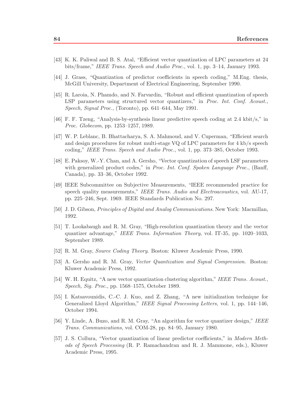- [43] K. K. Paliwal and B. S. Atal, "Efficient vector quantization of LPC parameters at 24 bits/frame," *IEEE Trans. Speech and Audio Proc.*, vol. 1, pp. 3–14, January 1993.
- [44] J. Grass, "Quantization of predictor coefficients in speech coding," M.Eng. thesis, McGill University, Department of Electrical Engineering, September 1990.
- [45] R. Laroia, N. Phamdo, and N. Farvardin, "Robust and efficient quantization of speech LSP parameters using structured vector quantizers," in *Proc. Int. Conf. Acoust., Speech, Signal Proc.*, (Toronto), pp. 641–644, May 1991.
- [46] F. F. Tzeng, "Analysis-by-synthesis linear predictive speech coding at 2.4 kbit/s," in *Proc. Globecom*, pp. 1253–1257, 1989.
- [47] W. P. Leblanc, B. Bhattacharya, S. A. Mahmoud, and V. Cuperman, "Efficient search and design procedures for robust multi-stage VQ of LPC parameters for 4 kb/s speech coding," *IEEE Trans. Speech and Audio Proc.*, vol. 1, pp. 373–385, October 1993.
- [48] E. Paksoy, W.-Y. Chan, and A. Gersho, "Vector quantization of speech LSF parameters with generalized product codes," in *Proc. Int. Conf. Spoken Language Proc.*, (Banff, Canada), pp. 33–36, October 1992.
- [49] IEEE Subcommittee on Subjective Measurements, "IEEE recommended practice for speech quality measurements," *IEEE Trans. Audio and Electroacoustics*, vol. AU-17, pp. 225–246, Sept. 1969. IEEE Standards Publication No. 297.
- [50] J. D. Gibson, *Principles of Digital and Analog Communications*. New York: Macmillan, 1992.
- [51] T. Lookabaugh and R. M. Gray, "High-resolution quantization theory and the vector quantizer advantage," *IEEE Trans. Information Theory*, vol. IT-35, pp. 1020–1033, September 1989.
- [52] R. M. Gray, *Source Coding Theory*. Boston: Kluwer Academic Press, 1990.
- [53] A. Gersho and R. M. Gray, *Vector Quantization and Signal Compression*. Boston: Kluwer Academic Press, 1992.
- [54] W. H. Equitz, "A new vector quantization clustering algorithm," *IEEE Trans. Acoust., Speech, Sig. Proc.*, pp. 1568–1575, October 1989.
- [55] I. Katsavounidis, C.-C. J. Kuo, and Z. Zhang, "A new initialization technique for Generalized Lloyd Algorithm," *IEEE Signal Processing Letters*, vol. 1, pp. 144–146, October 1994.
- [56] Y. Linde, A. Buzo, and R. M. Gray, "An algorithm for vector quantizer design," *IEEE Trans. Communications*, vol. COM-28, pp. 84–95, January 1980.
- [57] J. S. Collura, "Vector quantization of linear predictor coefficients," in *Modern Methods of Speech Processing* (R. P. Ramachandran and R. J. Mammone, eds.), Kluwer Academic Press, 1995.